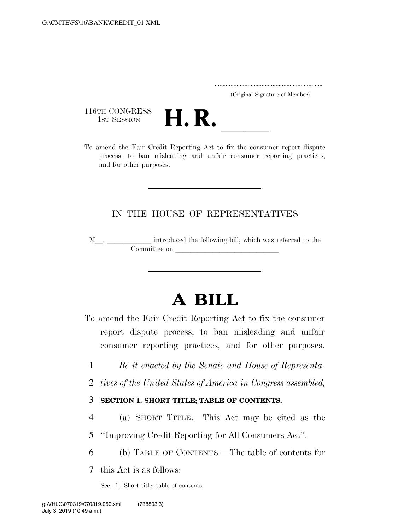..................................................................... (Original Signature of Member)

116TH CONGRESS<br>1st Session



116TH CONGRESS<br>1st SESSION<br>To amend the Fair Credit Reporting Act to fix the consumer report dispute process, to ban misleading and unfair consumer reporting practices, and for other purposes.

# IN THE HOUSE OF REPRESENTATIVES

<sup>M</sup>l. llllll introduced the following bill; which was referred to the Committee on

# **A BILL**

- To amend the Fair Credit Reporting Act to fix the consumer report dispute process, to ban misleading and unfair consumer reporting practices, and for other purposes.
	- 1 *Be it enacted by the Senate and House of Representa-*
	- 2 *tives of the United States of America in Congress assembled,*

#### 3 **SECTION 1. SHORT TITLE; TABLE OF CONTENTS.**

- 4 (a) SHORT TITLE.—This Act may be cited as the
- 5 ''Improving Credit Reporting for All Consumers Act''.
- 6 (b) TABLE OF CONTENTS.—The table of contents for

7 this Act is as follows:

Sec. 1. Short title; table of contents.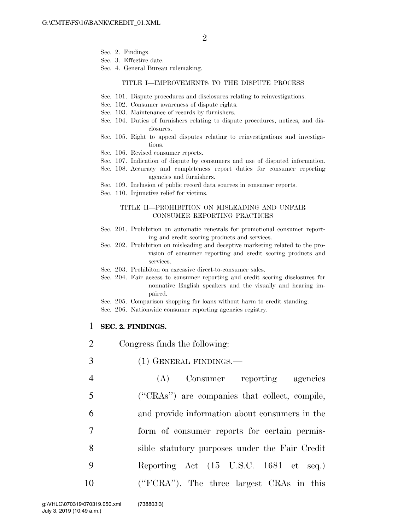- Sec. 2. Findings.
- Sec. 3. Effective date.
- Sec. 4. General Bureau rulemaking.

#### TITLE I—IMPROVEMENTS TO THE DISPUTE PROCESS

- Sec. 101. Dispute procedures and disclosures relating to reinvestigations.
- Sec. 102. Consumer awareness of dispute rights.
- Sec. 103. Maintenance of records by furnishers.
- Sec. 104. Duties of furnishers relating to dispute procedures, notices, and disclosures.
- Sec. 105. Right to appeal disputes relating to reinvestigations and investigations.
- Sec. 106. Revised consumer reports.
- Sec. 107. Indication of dispute by consumers and use of disputed information.
- Sec. 108. Accuracy and completeness report duties for consumer reporting agencies and furnishers.
- Sec. 109. Inclusion of public record data sources in consumer reports.
- Sec. 110. Injunctive relief for victims.

#### TITLE II—PROHIBITION ON MISLEADING AND UNFAIR CONSUMER REPORTING PRACTICES

- Sec. 201. Prohibition on automatic renewals for promotional consumer reporting and credit scoring products and services.
- Sec. 202. Prohibition on misleading and deceptive marketing related to the provision of consumer reporting and credit scoring products and services.
- Sec. 203. Prohibiton on excessive direct-to-consumer sales.
- Sec. 204. Fair access to consumer reporting and credit scoring disclosures for nonnative English speakers and the visually and hearing impaired.
- Sec. 205. Comparison shopping for loans without harm to credit standing.
- Sec. 206. Nationwide consumer reporting agencies registry.

#### 1 **SEC. 2. FINDINGS.**

- 2 Congress finds the following:
- 3 (1) GENERAL FINDINGS.—
- 4 (A) Consumer reporting agencies 5 (''CRAs'') are companies that collect, compile, 6 and provide information about consumers in the 7 form of consumer reports for certain permis-8 sible statutory purposes under the Fair Credit 9 Reporting Act (15 U.S.C. 1681 et seq.) 10 (''FCRA''). The three largest CRAs in this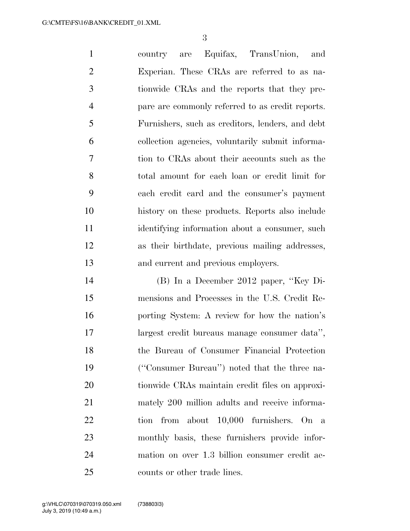country are Equifax, TransUnion, and Experian. These CRAs are referred to as na- tionwide CRAs and the reports that they pre- pare are commonly referred to as credit reports. Furnishers, such as creditors, lenders, and debt collection agencies, voluntarily submit informa- tion to CRAs about their accounts such as the total amount for each loan or credit limit for each credit card and the consumer's payment history on these products. Reports also include identifying information about a consumer, such as their birthdate, previous mailing addresses, and current and previous employers.

 (B) In a December 2012 paper, ''Key Di- mensions and Processes in the U.S. Credit Re- porting System: A review for how the nation's largest credit bureaus manage consumer data'', the Bureau of Consumer Financial Protection (''Consumer Bureau'') noted that the three na- tionwide CRAs maintain credit files on approxi- mately 200 million adults and receive informa- tion from about 10,000 furnishers. On a monthly basis, these furnishers provide infor- mation on over 1.3 billion consumer credit ac-counts or other trade lines.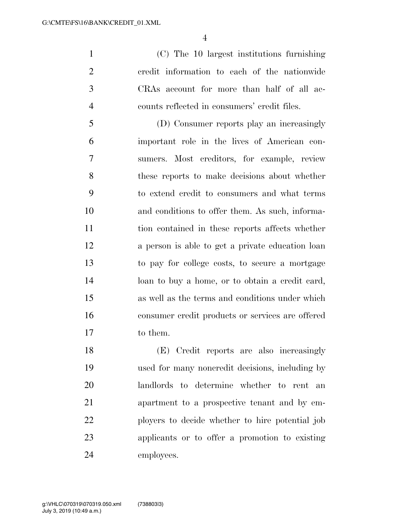(C) The 10 largest institutions furnishing credit information to each of the nationwide CRAs account for more than half of all ac-counts reflected in consumers' credit files.

 (D) Consumer reports play an increasingly important role in the lives of American con- sumers. Most creditors, for example, review these reports to make decisions about whether to extend credit to consumers and what terms and conditions to offer them. As such, informa- tion contained in these reports affects whether a person is able to get a private education loan to pay for college costs, to secure a mortgage loan to buy a home, or to obtain a credit card, as well as the terms and conditions under which consumer credit products or services are offered to them.

 (E) Credit reports are also increasingly used for many noncredit decisions, including by landlords to determine whether to rent an apartment to a prospective tenant and by em- ployers to decide whether to hire potential job applicants or to offer a promotion to existing employees.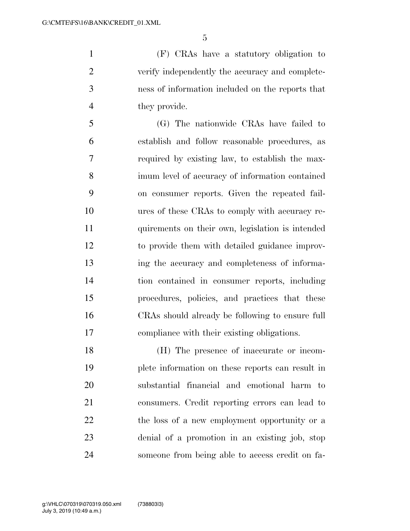(F) CRAs have a statutory obligation to verify independently the accuracy and complete- ness of information included on the reports that they provide.

 (G) The nationwide CRAs have failed to establish and follow reasonable procedures, as required by existing law, to establish the max- imum level of accuracy of information contained on consumer reports. Given the repeated fail- ures of these CRAs to comply with accuracy re- quirements on their own, legislation is intended to provide them with detailed guidance improv- ing the accuracy and completeness of informa- tion contained in consumer reports, including procedures, policies, and practices that these CRAs should already be following to ensure full compliance with their existing obligations.

 (H) The presence of inaccurate or incom- plete information on these reports can result in substantial financial and emotional harm to consumers. Credit reporting errors can lead to 22 the loss of a new employment opportunity or a denial of a promotion in an existing job, stop someone from being able to access credit on fa-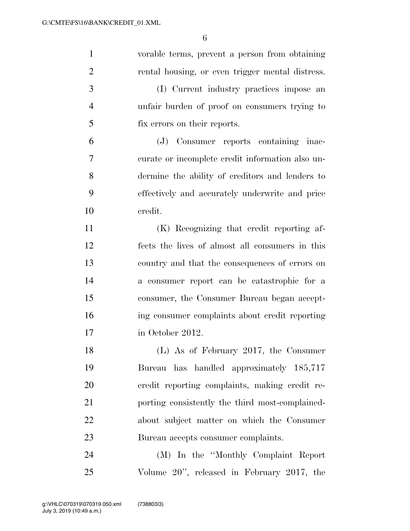| $\mathbf{1}$   | vorable terms, prevent a person from obtaining   |
|----------------|--------------------------------------------------|
| $\overline{2}$ | rental housing, or even trigger mental distress. |
| 3              | (I) Current industry practices impose an         |
| $\overline{4}$ | unfair burden of proof on consumers trying to    |
| 5              | fix errors on their reports.                     |
| 6              | (J) Consumer reports containing inac-            |
| 7              | curate or incomplete credit information also un- |
| 8              | dermine the ability of creditors and lenders to  |
| 9              | effectively and accurately underwrite and price  |
| 10             | credit.                                          |
| 11             | (K) Recognizing that credit reporting af-        |
| 12             | fects the lives of almost all consumers in this  |
| 13             | country and that the consequences of errors on   |
| 14             | a consumer report can be catastrophic for a      |
| 15             | consumer, the Consumer Bureau began accept-      |
| 16             | ing consumer complaints about credit reporting   |
| 17             | in October 2012.                                 |
| 18             | (L) As of February 2017, the Consumer            |
| 19             | Bureau has handled approximately 185,717         |
| 20             | credit reporting complaints, making credit re-   |
| 21             | porting consistently the third most-complained-  |
| 22             | about subject matter on which the Consumer       |
| 23             | Bureau accepts consumer complaints.              |
| 24             | (M) In the "Monthly Complaint Report             |
| 25             | Volume 20", released in February 2017, the       |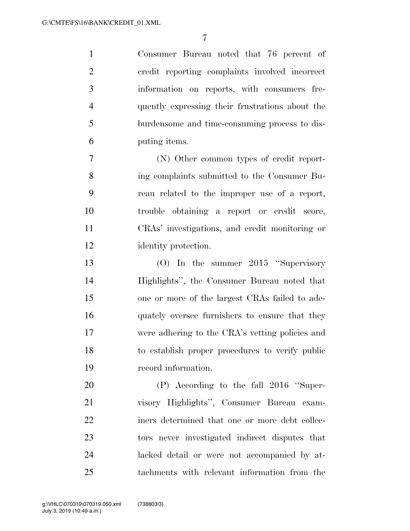Consumer Bureau noted that 76 percent of credit reporting complaints involved incorrect information on reports, with consumers fre- quently expressing their frustrations about the burdensome and time-consuming process to dis-puting items.

 (N) Other common types of credit report- ing complaints submitted to the Consumer Bu- reau related to the improper use of a report, trouble obtaining a report or credit score, CRAs' investigations, and credit monitoring or identity protection.

 (O) In the summer 2015 ''Supervisory Highlights'', the Consumer Bureau noted that one or more of the largest CRAs failed to ade- quately oversee furnishers to ensure that they were adhering to the CRA's vetting policies and to establish proper procedures to verify public record information.

 (P) According to the fall 2016 ''Super- visory Highlights'', Consumer Bureau exam- iners determined that one or more debt collec- tors never investigated indirect disputes that lacked detail or were not accompanied by at-tachments with relevant information from the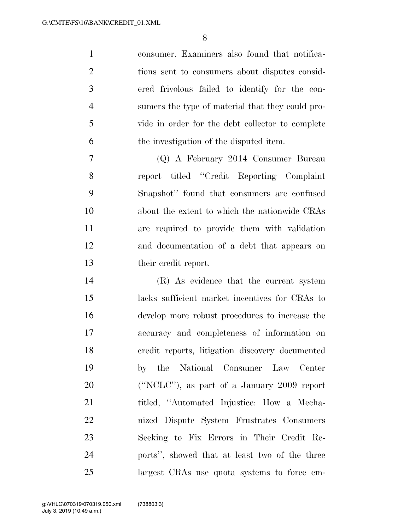consumer. Examiners also found that notifica- tions sent to consumers about disputes consid- ered frivolous failed to identify for the con- sumers the type of material that they could pro- vide in order for the debt collector to complete the investigation of the disputed item.

 (Q) A February 2014 Consumer Bureau report titled ''Credit Reporting Complaint Snapshot'' found that consumers are confused about the extent to which the nationwide CRAs are required to provide them with validation and documentation of a debt that appears on their credit report.

 (R) As evidence that the current system lacks sufficient market incentives for CRAs to develop more robust procedures to increase the accuracy and completeness of information on credit reports, litigation discovery documented by the National Consumer Law Center (''NCLC''), as part of a January 2009 report 21 titled, "Automated Injustice: How a Mecha- nized Dispute System Frustrates Consumers Seeking to Fix Errors in Their Credit Re- ports'', showed that at least two of the three largest CRAs use quota systems to force em-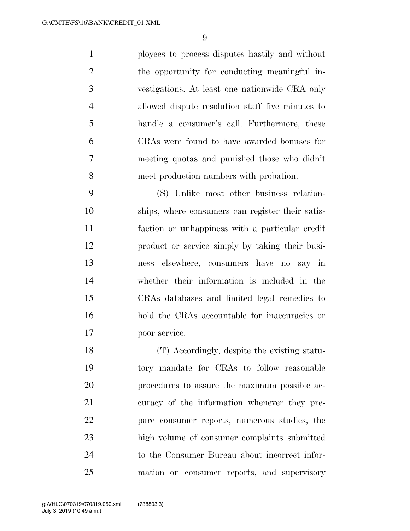ployees to process disputes hastily and without the opportunity for conducting meaningful in- vestigations. At least one nationwide CRA only allowed dispute resolution staff five minutes to handle a consumer's call. Furthermore, these CRAs were found to have awarded bonuses for meeting quotas and punished those who didn't meet production numbers with probation.

 (S) Unlike most other business relation- ships, where consumers can register their satis- faction or unhappiness with a particular credit product or service simply by taking their busi- ness elsewhere, consumers have no say in whether their information is included in the CRAs databases and limited legal remedies to hold the CRAs accountable for inaccuracies or poor service.

 (T) Accordingly, despite the existing statu- tory mandate for CRAs to follow reasonable procedures to assure the maximum possible ac- curacy of the information whenever they pre- pare consumer reports, numerous studies, the high volume of consumer complaints submitted to the Consumer Bureau about incorrect infor-mation on consumer reports, and supervisory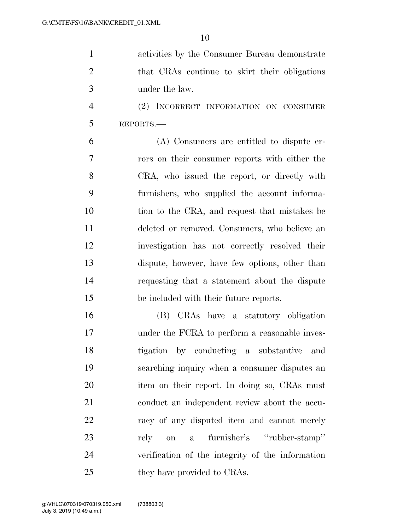| $\overline{1}$ | activities by the Consumer Bureau demonstrate |
|----------------|-----------------------------------------------|
| 2              | that CRAs continue to skirt their obligations |
| 3              | under the law.                                |

 (2) INCORRECT INFORMATION ON CONSUMER REPORTS.—

 (A) Consumers are entitled to dispute er- rors on their consumer reports with either the CRA, who issued the report, or directly with furnishers, who supplied the account informa-10 tion to the CRA, and request that mistakes be deleted or removed. Consumers, who believe an investigation has not correctly resolved their dispute, however, have few options, other than requesting that a statement about the dispute be included with their future reports.

 (B) CRAs have a statutory obligation under the FCRA to perform a reasonable inves- tigation by conducting a substantive and searching inquiry when a consumer disputes an item on their report. In doing so, CRAs must conduct an independent review about the accu-22 racy of any disputed item and cannot merely rely on a furnisher's ''rubber-stamp'' verification of the integrity of the information 25 they have provided to CRAs.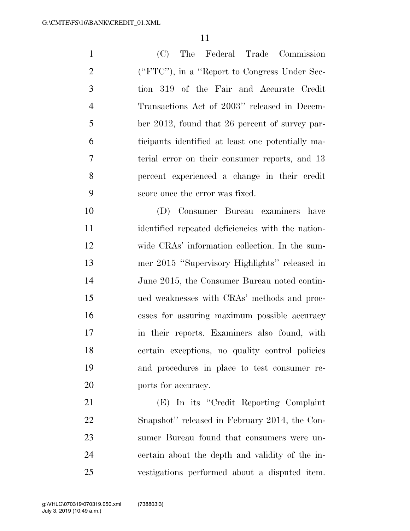(C) The Federal Trade Commission (''FTC''), in a ''Report to Congress Under Sec- tion 319 of the Fair and Accurate Credit Transactions Act of 2003'' released in Decem- ber 2012, found that 26 percent of survey par- ticipants identified at least one potentially ma- terial error on their consumer reports, and 13 percent experienced a change in their credit score once the error was fixed.

 (D) Consumer Bureau examiners have identified repeated deficiencies with the nation- wide CRAs' information collection. In the sum- mer 2015 ''Supervisory Highlights'' released in June 2015, the Consumer Bureau noted contin- ued weaknesses with CRAs' methods and proc- esses for assuring maximum possible accuracy in their reports. Examiners also found, with certain exceptions, no quality control policies and procedures in place to test consumer re-20 ports for accuracy.

 (E) In its ''Credit Reporting Complaint Snapshot'' released in February 2014, the Con- sumer Bureau found that consumers were un- certain about the depth and validity of the in-vestigations performed about a disputed item.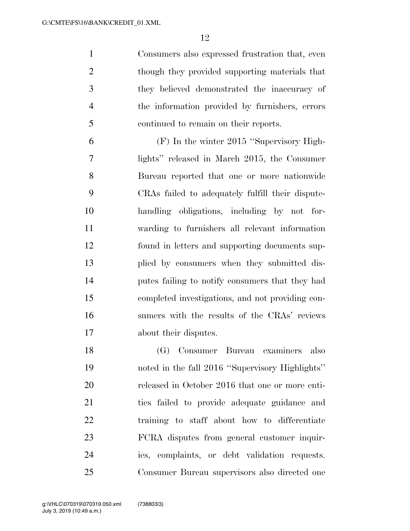Consumers also expressed frustration that, even though they provided supporting materials that they believed demonstrated the inaccuracy of the information provided by furnishers, errors continued to remain on their reports.

 (F) In the winter 2015 ''Supervisory High- lights'' released in March 2015, the Consumer Bureau reported that one or more nationwide CRAs failed to adequately fulfill their dispute- handling obligations, including by not for- warding to furnishers all relevant information found in letters and supporting documents sup- plied by consumers when they submitted dis- putes failing to notify consumers that they had completed investigations, and not providing con- sumers with the results of the CRAs' reviews about their disputes.

 (G) Consumer Bureau examiners also noted in the fall 2016 ''Supervisory Highlights'' released in October 2016 that one or more enti- ties failed to provide adequate guidance and training to staff about how to differentiate FCRA disputes from general customer inquir- ies, complaints, or debt validation requests. Consumer Bureau supervisors also directed one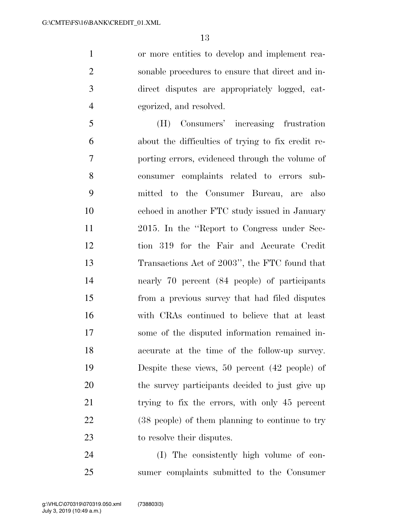or more entities to develop and implement rea- sonable procedures to ensure that direct and in- direct disputes are appropriately logged, cat-egorized, and resolved.

 (H) Consumers' increasing frustration about the difficulties of trying to fix credit re- porting errors, evidenced through the volume of consumer complaints related to errors sub- mitted to the Consumer Bureau, are also echoed in another FTC study issued in January 2015. In the ''Report to Congress under Sec- tion 319 for the Fair and Accurate Credit Transactions Act of 2003'', the FTC found that nearly 70 percent (84 people) of participants from a previous survey that had filed disputes with CRAs continued to believe that at least some of the disputed information remained in- accurate at the time of the follow-up survey. Despite these views, 50 percent (42 people) of the survey participants decided to just give up trying to fix the errors, with only 45 percent (38 people) of them planning to continue to try to resolve their disputes.

 (I) The consistently high volume of con-sumer complaints submitted to the Consumer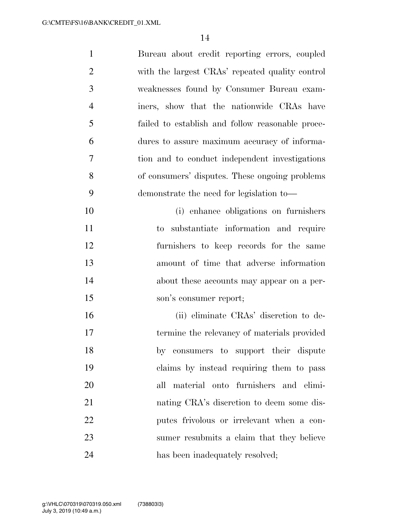| $\mathbf{1}$   | Bureau about credit reporting errors, coupled    |
|----------------|--------------------------------------------------|
| $\overline{2}$ | with the largest CRAs' repeated quality control  |
| 3              | weaknesses found by Consumer Bureau exam-        |
| $\overline{4}$ | iners, show that the nationwide CRAs have        |
| 5              | failed to establish and follow reasonable proce- |
| 6              | dures to assure maximum accuracy of informa-     |
| 7              | tion and to conduct independent investigations   |
| 8              | of consumers' disputes. These ongoing problems   |
| 9              | demonstrate the need for legislation to—         |
| 10             | (i) enhance obligations on furnishers            |
| 11             | substantiate information and require<br>to       |
| 12             | furnishers to keep records for the same          |
| 13             | amount of time that adverse information          |
| 14             | about these accounts may appear on a per-        |
| 15             | son's consumer report;                           |
| 16             | (ii) eliminate CRAs' discretion to de-           |
| 17             | termine the relevancy of materials provided      |
| 18             | by consumers to support their dispute            |
| 19             | claims by instead requiring them to pass         |
| 20             | all material onto furnishers and elimi-          |
| 21             | nating CRA's discretion to deem some dis-        |
| 22             | putes frivolous or irrelevant when a con-        |
| 23             | sumer resubmits a claim that they believe        |
| 24             | has been inadequately resolved;                  |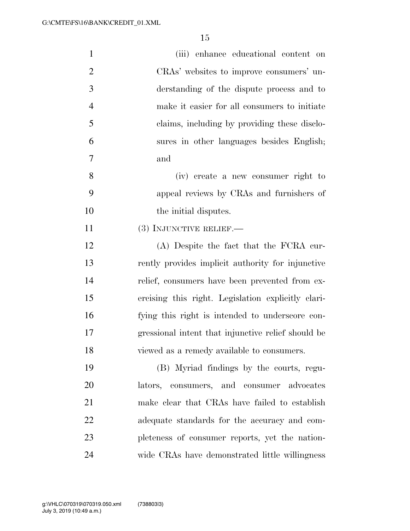| $\mathbf{1}$   | (iii) enhance educational content on               |
|----------------|----------------------------------------------------|
| $\overline{2}$ | CRAs' websites to improve consumers' un-           |
| 3              | derstanding of the dispute process and to          |
| $\overline{4}$ | make it easier for all consumers to initiate       |
| 5              | claims, including by providing these disclo-       |
| 6              | sures in other languages besides English;          |
| 7              | and                                                |
| 8              | (iv) create a new consumer right to                |
| 9              | appeal reviews by CRAs and furnishers of           |
| 10             | the initial disputes.                              |
| 11             | (3) INJUNCTIVE RELIEF.—                            |
| 12             | (A) Despite the fact that the FCRA cur-            |
| 13             | rently provides implicit authority for injunctive  |
| 14             | relief, consumers have been prevented from ex-     |
| 15             | ercising this right. Legislation explicitly clari- |
| 16             | fying this right is intended to underscore con-    |
| 17             | gressional intent that injunctive relief should be |
| 18             | viewed as a remedy available to consumers.         |
| 19             | (B) Myriad findings by the courts, regu-           |
| 20             | lators, consumers, and consumer advocates          |
| 21             | make clear that CRAs have failed to establish      |
| 22             | adequate standards for the accuracy and com-       |
| 23             | pleteness of consumer reports, yet the nation-     |
| 24             | wide CRAs have demonstrated little willingness     |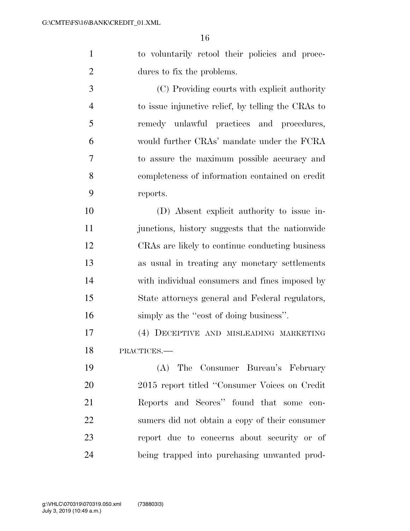to voluntarily retool their policies and proce-dures to fix the problems.

 (C) Providing courts with explicit authority to issue injunctive relief, by telling the CRAs to remedy unlawful practices and procedures, would further CRAs' mandate under the FCRA to assure the maximum possible accuracy and completeness of information contained on credit reports.

 (D) Absent explicit authority to issue in- junctions, history suggests that the nationwide CRAs are likely to continue conducting business as usual in treating any monetary settlements with individual consumers and fines imposed by State attorneys general and Federal regulators, 16 simply as the "cost of doing business".

 (4) DECEPTIVE AND MISLEADING MARKETING PRACTICES.—

 (A) The Consumer Bureau's February 2015 report titled ''Consumer Voices on Credit Reports and Scores'' found that some con- sumers did not obtain a copy of their consumer report due to concerns about security or of being trapped into purchasing unwanted prod-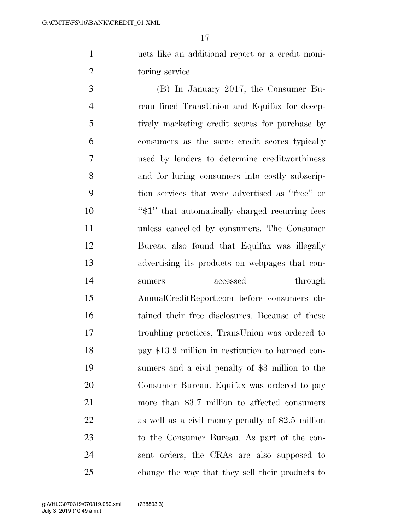ucts like an additional report or a credit moni-2 toring service.

 (B) In January 2017, the Consumer Bu- reau fined TransUnion and Equifax for decep- tively marketing credit scores for purchase by consumers as the same credit scores typically used by lenders to determine creditworthiness and for luring consumers into costly subscrip- tion services that were advertised as ''free'' or 10 ''\$1" that automatically charged recurring fees unless cancelled by consumers. The Consumer Bureau also found that Equifax was illegally advertising its products on webpages that con-14 sumers accessed through AnnualCreditReport.com before consumers ob- tained their free disclosures. Because of these troubling practices, TransUnion was ordered to pay \$13.9 million in restitution to harmed con- sumers and a civil penalty of \$3 million to the Consumer Bureau. Equifax was ordered to pay more than \$3.7 million to affected consumers as well as a civil money penalty of \$2.5 million to the Consumer Bureau. As part of the con- sent orders, the CRAs are also supposed to change the way that they sell their products to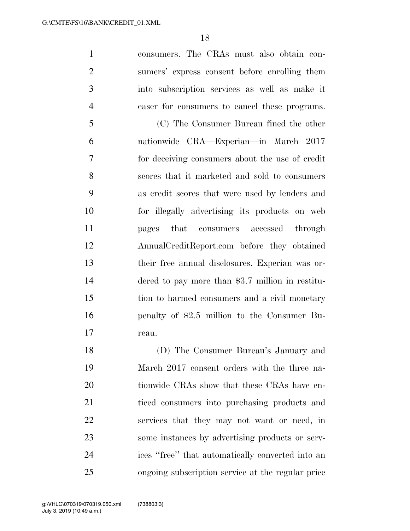consumers. The CRAs must also obtain con- sumers' express consent before enrolling them into subscription services as well as make it easer for consumers to cancel these programs.

 (C) The Consumer Bureau fined the other nationwide CRA—Experian—in March 2017 for deceiving consumers about the use of credit scores that it marketed and sold to consumers as credit scores that were used by lenders and for illegally advertising its products on web pages that consumers accessed through AnnualCreditReport.com before they obtained their free annual disclosures. Experian was or- dered to pay more than \$3.7 million in restitu- tion to harmed consumers and a civil monetary penalty of \$2.5 million to the Consumer Bu-reau.

 (D) The Consumer Bureau's January and March 2017 consent orders with the three na-20 tionwide CRAs show that these CRAs have en- ticed consumers into purchasing products and services that they may not want or need, in some instances by advertising products or serv- ices ''free'' that automatically converted into an ongoing subscription service at the regular price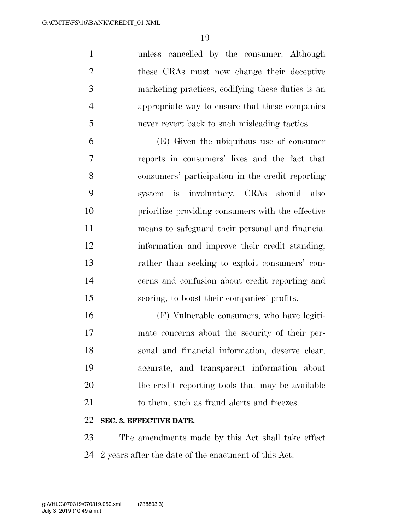unless cancelled by the consumer. Although these CRAs must now change their deceptive marketing practices, codifying these duties is an appropriate way to ensure that these companies never revert back to such misleading tactics.

 (E) Given the ubiquitous use of consumer reports in consumers' lives and the fact that consumers' participation in the credit reporting system is involuntary, CRAs should also prioritize providing consumers with the effective means to safeguard their personal and financial information and improve their credit standing, rather than seeking to exploit consumers' con- cerns and confusion about credit reporting and scoring, to boost their companies' profits.

 (F) Vulnerable consumers, who have legiti- mate concerns about the security of their per- sonal and financial information, deserve clear, accurate, and transparent information about the credit reporting tools that may be available 21 to them, such as fraud alerts and freezes.

### **SEC. 3. EFFECTIVE DATE.**

 The amendments made by this Act shall take effect 2 years after the date of the enactment of this Act.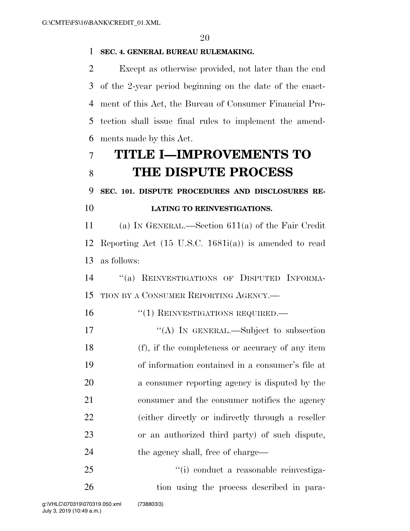#### **SEC. 4. GENERAL BUREAU RULEMAKING.**

 Except as otherwise provided, not later than the end of the 2-year period beginning on the date of the enact- ment of this Act, the Bureau of Consumer Financial Pro- tection shall issue final rules to implement the amend-ments made by this Act.

# **TITLE I—IMPROVEMENTS TO THE DISPUTE PROCESS**

**SEC. 101. DISPUTE PROCEDURES AND DISCLOSURES RE-**

## **LATING TO REINVESTIGATIONS.**

 (a) IN GENERAL.—Section 611(a) of the Fair Credit Reporting Act (15 U.S.C. 1681i(a)) is amended to read as follows:

 ''(a) REINVESTIGATIONS OF DISPUTED INFORMA-TION BY A CONSUMER REPORTING AGENCY.—

### 16 "(1) REINVESTIGATIONS REQUIRED.—

17 "(A) IN GENERAL.—Subject to subsection (f), if the completeness or accuracy of any item of information contained in a consumer's file at a consumer reporting agency is disputed by the consumer and the consumer notifies the agency (either directly or indirectly through a reseller or an authorized third party) of such dispute, 24 the agency shall, free of charge—

25  $\frac{1}{1}$  conduct a reasonable reinvestiga-26 tion using the process described in para-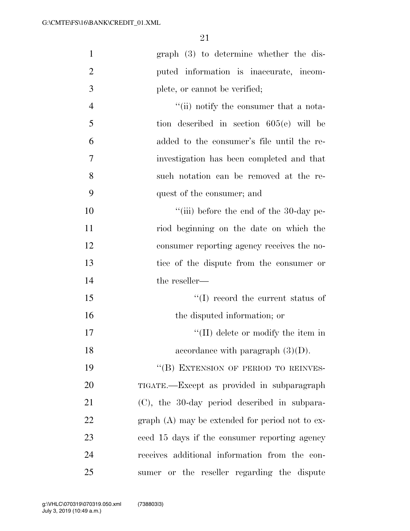| $\mathbf{1}$   | $graph(3)$ to determine whether the dis-         |
|----------------|--------------------------------------------------|
| $\overline{2}$ | puted information is inaccurate, incom-          |
| 3              | plete, or cannot be verified;                    |
| $\overline{4}$ | "(ii) notify the consumer that a nota-           |
| 5              | tion described in section $605(e)$ will be       |
| 6              | added to the consumer's file until the re-       |
| 7              | investigation has been completed and that        |
| 8              | such notation can be removed at the re-          |
| 9              | quest of the consumer; and                       |
| 10             | $``(iii)$ before the end of the 30-day pe-       |
| 11             | riod beginning on the date on which the          |
| 12             | consumer reporting agency receives the no-       |
| 13             | tice of the dispute from the consumer or         |
| 14             | the reseller—                                    |
| 15             | $\lq\lq$ record the current status of            |
| 16             | the disputed information; or                     |
| 17             | $\lq\lq$ (II) delete or modify the item in       |
| 18             | accordance with paragraph $(3)(D)$ .             |
| 19             | "(B) EXTENSION OF PERIOD TO REINVES-             |
| 20             | TIGATE.—Except as provided in subparagraph       |
| 21             | (C), the 30-day period described in subpara-     |
| 22             | $graph(A)$ may be extended for period not to ex- |
| 23             | ceed 15 days if the consumer reporting agency    |
| 24             | receives additional information from the con-    |
| 25             | sumer or the reseller regarding the dispute      |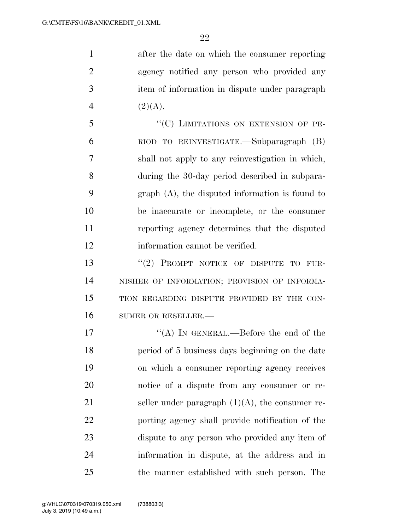after the date on which the consumer reporting agency notified any person who provided any item of information in dispute under paragraph 4  $(2)(A).$ 

5 "(C) LIMITATIONS ON EXTENSION OF PE- RIOD TO REINVESTIGATE.—Subparagraph (B) shall not apply to any reinvestigation in which, during the 30-day period described in subpara- graph (A), the disputed information is found to be inaccurate or incomplete, or the consumer reporting agency determines that the disputed information cannot be verified.

13 "(2) PROMPT NOTICE OF DISPUTE TO FUR- NISHER OF INFORMATION; PROVISION OF INFORMA- TION REGARDING DISPUTE PROVIDED BY THE CON-16 SUMER OR RESELLER.

17 ""(A) IN GENERAL.—Before the end of the period of 5 business days beginning on the date on which a consumer reporting agency receives notice of a dispute from any consumer or re-21 seller under paragraph  $(1)(A)$ , the consumer re- porting agency shall provide notification of the dispute to any person who provided any item of information in dispute, at the address and in the manner established with such person. The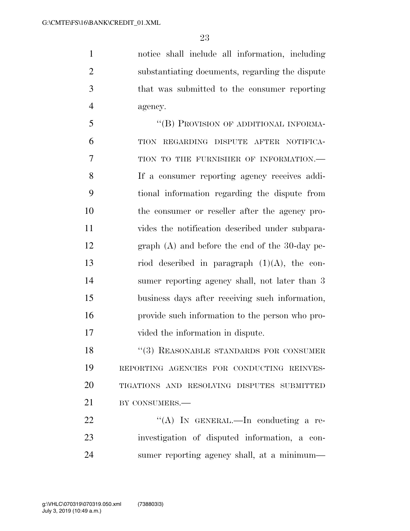notice shall include all information, including substantiating documents, regarding the dispute that was submitted to the consumer reporting agency.

 ''(B) PROVISION OF ADDITIONAL INFORMA- TION REGARDING DISPUTE AFTER NOTIFICA-7 TION TO THE FURNISHER OF INFORMATION. If a consumer reporting agency receives addi- tional information regarding the dispute from the consumer or reseller after the agency pro- vides the notification described under subpara- graph (A) and before the end of the 30-day pe-13 riod described in paragraph  $(1)(A)$ , the con- sumer reporting agency shall, not later than 3 business days after receiving such information, provide such information to the person who pro-vided the information in dispute.

18 ''(3) REASONABLE STANDARDS FOR CONSUMER REPORTING AGENCIES FOR CONDUCTING REINVES- TIGATIONS AND RESOLVING DISPUTES SUBMITTED 21 BY CONSUMERS.—

 $\mathcal{L}(A)$  In GENERAL.—In conducting a re- investigation of disputed information, a con-sumer reporting agency shall, at a minimum—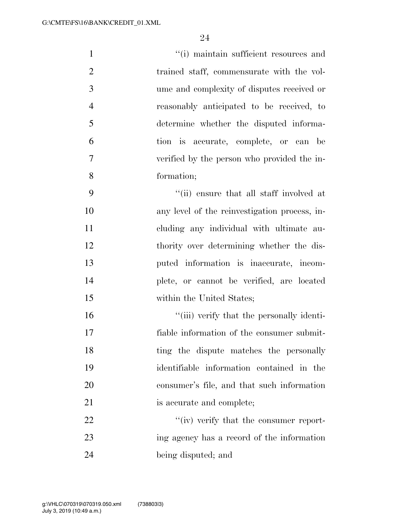| $\mathbf{1}$   | "(i) maintain sufficient resources and        |
|----------------|-----------------------------------------------|
| $\overline{2}$ | trained staff, commensurate with the vol-     |
| 3              | ume and complexity of disputes received or    |
| $\overline{4}$ | reasonably anticipated to be received, to     |
| 5              | determine whether the disputed informa-       |
| 6              | tion is accurate, complete, or can be         |
| 7              | verified by the person who provided the in-   |
| 8              | formation;                                    |
| 9              | "(ii) ensure that all staff involved at       |
| 10             | any level of the reinvestigation process, in- |
| 11             | cluding any individual with ultimate au-      |
| 12             | thority over determining whether the dis-     |
| 13             | puted information is inaccurate, incom-       |
| 14             | plete, or cannot be verified, are located     |
| 15             | within the United States;                     |
| 16             | "(iii) verify that the personally identi-     |
| 17             | fiable information of the consumer submit-    |
| 18             | ting the dispute matches the personally       |
| 19             | identifiable information contained in the     |
| 20             | consumer's file, and that such information    |
| 21             | is accurate and complete;                     |
| 22             | $``(iv)$ verify that the consumer report-     |
| 23             | ing agency has a record of the information    |
| 24             | being disputed; and                           |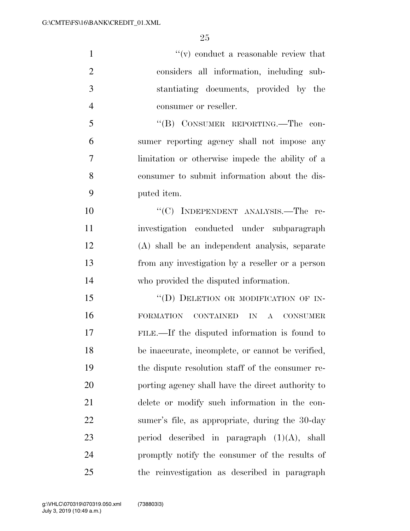$''(v)$  conduct a reasonable review that considers all information, including sub- stantiating documents, provided by the consumer or reseller. ''(B) CONSUMER REPORTING.—The con- sumer reporting agency shall not impose any limitation or otherwise impede the ability of a consumer to submit information about the dis- puted item. 10 "'(C) INDEPENDENT ANALYSIS.—The re- investigation conducted under subparagraph (A) shall be an independent analysis, separate from any investigation by a reseller or a person who provided the disputed information. 15 "(D) DELETION OR MODIFICATION OF IN- FORMATION CONTAINED IN A CONSUMER FILE.—If the disputed information is found to be inaccurate, incomplete, or cannot be verified, the dispute resolution staff of the consumer re- porting agency shall have the direct authority to delete or modify such information in the con- sumer's file, as appropriate, during the 30-day 23 period described in paragraph  $(1)(A)$ , shall promptly notify the consumer of the results of the reinvestigation as described in paragraph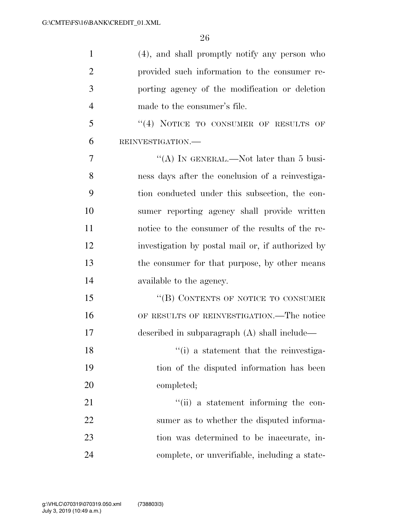| $\mathbf{1}$   | (4), and shall promptly notify any person who     |
|----------------|---------------------------------------------------|
| $\overline{2}$ | provided such information to the consumer re-     |
| 3              | porting agency of the modification or deletion    |
| $\overline{4}$ | made to the consumer's file.                      |
| 5              | $(4)$ NOTICE TO CONSUMER OF RESULTS OF            |
| 6              | REINVESTIGATION.                                  |
| 7              | "(A) IN GENERAL.—Not later than 5 busi-           |
| 8              | ness days after the conclusion of a reinvestiga-  |
| 9              | tion conducted under this subsection, the con-    |
| 10             | sumer reporting agency shall provide written      |
| 11             | notice to the consumer of the results of the re-  |
| 12             | investigation by postal mail or, if authorized by |
| 13             | the consumer for that purpose, by other means     |
| 14             | available to the agency.                          |
| 15             | "(B) CONTENTS OF NOTICE TO CONSUMER               |
| 16             | OF RESULTS OF REINVESTIGATION.—The notice         |
| 17             | described in subparagraph $(A)$ shall include—    |
| 18             | "(i) a statement that the reinvestiga-            |
| 19             | tion of the disputed information has been         |
| 20             | completed;                                        |
| 21             | "(ii) a statement informing the con-              |
| 22             | sumer as to whether the disputed informa-         |
| 23             | tion was determined to be inaccurate, in-         |
| 24             | complete, or unverifiable, including a state-     |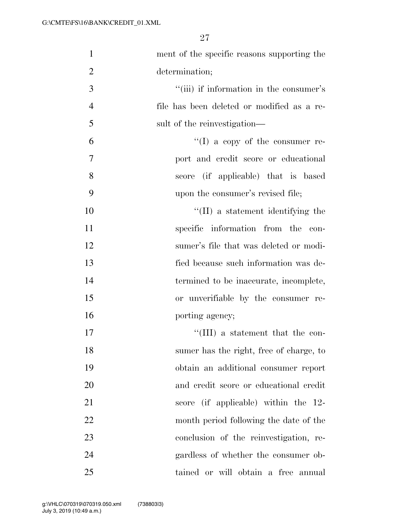| $\mathbf{1}$   | ment of the specific reasons supporting the |
|----------------|---------------------------------------------|
| $\overline{2}$ | determination;                              |
| 3              | "(iii) if information in the consumer's     |
| $\overline{4}$ | file has been deleted or modified as a re-  |
| 5              | sult of the reinvestigation—                |
| 6              | $\lq\lq (I)$ a copy of the consumer re-     |
| 7              | port and credit score or educational        |
| 8              | score (if applicable) that is based         |
| 9              | upon the consumer's revised file;           |
| 10             | $\lq\lq$ (II) a statement identifying the   |
| 11             | specific information from the con-          |
| 12             | sumer's file that was deleted or modi-      |
| 13             | fied because such information was de-       |
| 14             | termined to be inaccurate, incomplete,      |
| 15             | or unverifiable by the consumer re-         |
| 16             | porting agency;                             |
| 17             | $\lq\lq$ (III) a statement that the con-    |
| 18             | sumer has the right, free of charge, to     |
| 19             | obtain an additional consumer report        |
| 20             | and credit score or educational credit      |
| 21             | score (if applicable) within the 12-        |
| 22             | month period following the date of the      |
| 23             | conclusion of the reinvestigation, re-      |
| 24             | gardless of whether the consumer ob-        |
| 25             | tained or will obtain a free annual         |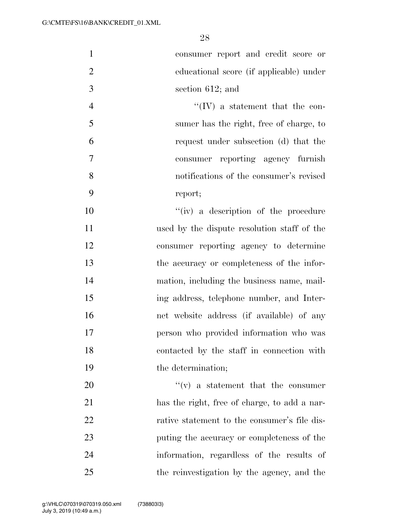| $\mathbf{1}$   | consumer report and credit score or          |
|----------------|----------------------------------------------|
| $\overline{2}$ | educational score (if applicable) under      |
| 3              | section $612$ ; and                          |
| $\overline{4}$ | $\lq\lq$ (IV) a statement that the con-      |
| 5              | sumer has the right, free of charge, to      |
| 6              | request under subsection (d) that the        |
| 7              | consumer reporting agency furnish            |
| 8              | notifications of the consumer's revised      |
| 9              | report;                                      |
| 10             | "(iv) a description of the procedure         |
| 11             | used by the dispute resolution staff of the  |
| 12             | consumer reporting agency to determine       |
| 13             | the accuracy or completeness of the infor-   |
| 14             | mation, including the business name, mail-   |
| 15             | ing address, telephone number, and Inter-    |
| 16             | net website address (if available) of any    |
| 17             | person who provided information who was      |
| 18             | contacted by the staff in connection with    |
| 19             | the determination;                           |
| 20             | $f'(v)$ a statement that the consumer        |
| 21             | has the right, free of charge, to add a nar- |
| 22             | rative statement to the consumer's file dis- |
| 23             | puting the accuracy or completeness of the   |
| 24             | information, regardless of the results of    |
| 25             | the reinvestigation by the agency, and the   |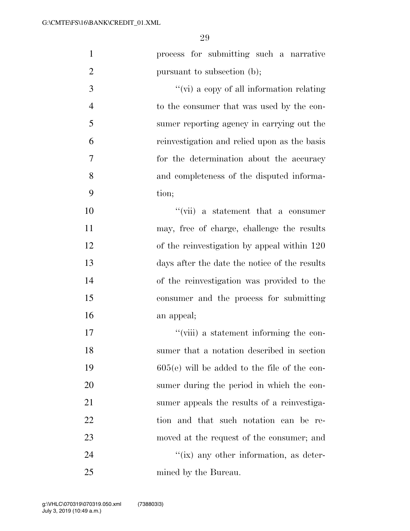| $\mathbf{1}$   | process for submitting such a narrative        |
|----------------|------------------------------------------------|
| $\overline{2}$ | pursuant to subsection (b);                    |
| 3              | "(vi) a copy of all information relating       |
| $\overline{4}$ | to the consumer that was used by the con-      |
| 5              | sumer reporting agency in carrying out the     |
| 6              | reinvestigation and relied upon as the basis   |
| 7              | for the determination about the accuracy       |
| 8              | and completeness of the disputed informa-      |
| 9              | tion;                                          |
| 10             | $``(\text{vii})$ a statement that a consumer   |
| 11             | may, free of charge, challenge the results     |
| 12             | of the reinvestigation by appeal within 120    |
| 13             | days after the date the notice of the results  |
| 14             | of the reinvestigation was provided to the     |
| 15             | consumer and the process for submitting        |
| 16             | an appeal;                                     |
| 17             | "(viii) a statement informing the con-         |
| 18             | sumer that a notation described in section     |
| 19             | $605(e)$ will be added to the file of the con- |
| 20             | sumer during the period in which the con-      |
| 21             | sumer appeals the results of a reinvestiga-    |
| 22             | tion and that such notation can be re-         |
| 23             | moved at the request of the consumer; and      |
| 24             | $\lq\lq$ (ix) any other information, as deter- |
| 25             | mined by the Bureau.                           |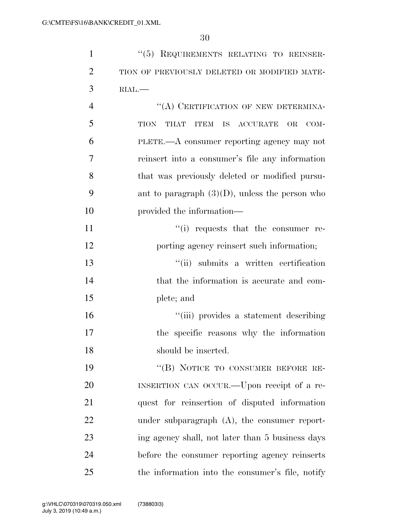| $\mathbf{1}$   | "(5) REQUIREMENTS RELATING TO REINSER-                   |
|----------------|----------------------------------------------------------|
| $\overline{2}$ | TION OF PREVIOUSLY DELETED OR MODIFIED MATE-             |
| 3              | RIAL.                                                    |
| $\overline{4}$ | "(A) CERTIFICATION OF NEW DETERMINA-                     |
| 5              | TION<br>THAT<br><b>ITEM</b><br>IS<br>ACCURATE OR<br>COM- |
| 6              | PLETE.—A consumer reporting agency may not               |
| 7              | reinsert into a consumer's file any information          |
| 8              | that was previously deleted or modified pursu-           |
| 9              | ant to paragraph $(3)(D)$ , unless the person who        |
| 10             | provided the information—                                |
| 11             | "(i) requests that the consumer re-                      |
| 12             | porting agency reinsert such information;                |
| 13             | "(ii) submits a written certification                    |
| 14             | that the information is accurate and com-                |
| 15             | plete; and                                               |
| 16             | "(iii) provides a statement describing                   |
| 17             | the specific reasons why the information                 |
| 18             | should be inserted.                                      |
| 19             | "(B) NOTICE TO CONSUMER BEFORE RE-                       |
| 20             | INSERTION CAN OCCUR.—Upon receipt of a re-               |
| 21             | quest for reinsertion of disputed information            |
| 22             | under subparagraph $(A)$ , the consumer report-          |
| 23             | ing agency shall, not later than 5 business days         |
| 24             | before the consumer reporting agency reinserts           |
| 25             | the information into the consumer's file, notify         |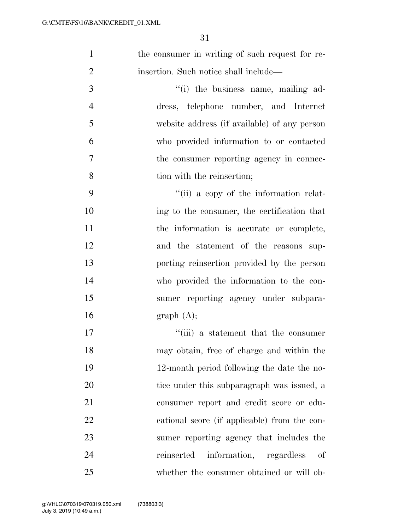1 the consumer in writing of such request for re-insertion. Such notice shall include—

 $\frac{1}{1}$  the business name, mailing ad- dress, telephone number, and Internet website address (if available) of any person who provided information to or contacted the consumer reporting agency in connec-tion with the reinsertion;

 ''(ii) a copy of the information relat- ing to the consumer, the certification that 11 the information is accurate or complete, and the statement of the reasons sup- porting reinsertion provided by the person who provided the information to the con- sumer reporting agency under subpara-16 graph  $(A)$ ;

17 ''(iii) a statement that the consumer may obtain, free of charge and within the 12-month period following the date the no-20 tice under this subparagraph was issued, a consumer report and credit score or edu- cational score (if applicable) from the con- sumer reporting agency that includes the reinserted information, regardless of whether the consumer obtained or will ob-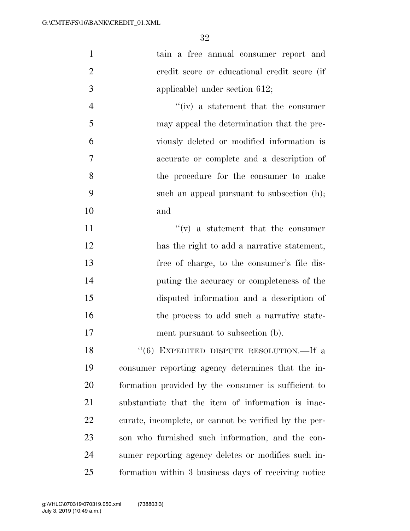| $\mathbf{1}$   | tain a free annual consumer report and                |
|----------------|-------------------------------------------------------|
| $\overline{2}$ | credit score or educational credit score (if          |
| 3              | applicable) under section $612$ ;                     |
| $\overline{4}$ | $f'(iv)$ a statement that the consumer                |
| 5              | may appeal the determination that the pre-            |
| 6              | viously deleted or modified information is            |
| 7              | accurate or complete and a description of             |
| 8              | the procedure for the consumer to make                |
| 9              | such an appeal pursuant to subsection (h);            |
| 10             | and                                                   |
| 11             | $f'(v)$ a statement that the consumer                 |
| 12             | has the right to add a narrative statement,           |
| 13             | free of charge, to the consumer's file dis-           |
| 14             | puting the accuracy or completeness of the            |
| 15             | disputed information and a description of             |
| 16             | the process to add such a narrative state-            |
| 17             | ment pursuant to subsection (b).                      |
| 18             | "(6) EXPEDITED DISPUTE RESOLUTION.—If a               |
| 19             | consumer reporting agency determines that the in-     |
| 20             | formation provided by the consumer is sufficient to   |
| 21             | substantiate that the item of information is inac-    |
| 22             | curate, incomplete, or cannot be verified by the per- |
| 23             | son who furnished such information, and the con-      |
| 24             | sumer reporting agency deletes or modifies such in-   |
| 25             | formation within 3 business days of receiving notice  |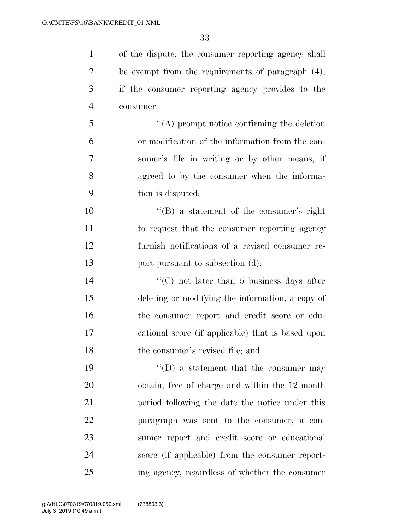of the dispute, the consumer reporting agency shall be exempt from the requirements of paragraph (4), if the consumer reporting agency provides to the consumer— ''(A) prompt notice confirming the deletion or modification of the information from the con- sumer's file in writing or by other means, if agreed to by the consumer when the informa- tion is disputed; ''(B) a statement of the consumer's right to request that the consumer reporting agency furnish notifications of a revised consumer re-13 port pursuant to subsection (d); 14 ''(C) not later than 5 business days after deleting or modifying the information, a copy of the consumer report and credit score or edu-

the consumer's revised file; and

19 ''(D) a statement that the consumer may obtain, free of charge and within the 12-month period following the date the notice under this paragraph was sent to the consumer, a con- sumer report and credit score or educational score (if applicable) from the consumer report-ing agency, regardless of whether the consumer

cational score (if applicable) that is based upon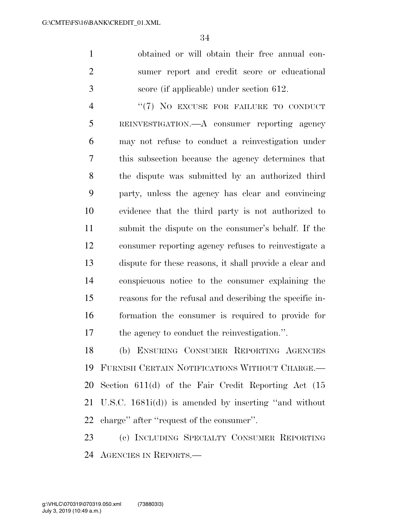obtained or will obtain their free annual con- sumer report and credit score or educational score (if applicable) under section 612.

4 "(7) NO EXCUSE FOR FAILURE TO CONDUCT REINVESTIGATION.—A consumer reporting agency may not refuse to conduct a reinvestigation under this subsection because the agency determines that the dispute was submitted by an authorized third party, unless the agency has clear and convincing evidence that the third party is not authorized to submit the dispute on the consumer's behalf. If the consumer reporting agency refuses to reinvestigate a dispute for these reasons, it shall provide a clear and conspicuous notice to the consumer explaining the reasons for the refusal and describing the specific in- formation the consumer is required to provide for the agency to conduct the reinvestigation.''.

 (b) ENSURING CONSUMER REPORTING AGENCIES FURNISH CERTAIN NOTIFICATIONS WITHOUT CHARGE.— Section 611(d) of the Fair Credit Reporting Act (15 U.S.C. 1681i(d)) is amended by inserting ''and without charge'' after ''request of the consumer''.

 (c) INCLUDING SPECIALTY CONSUMER REPORTING AGENCIES IN REPORTS.—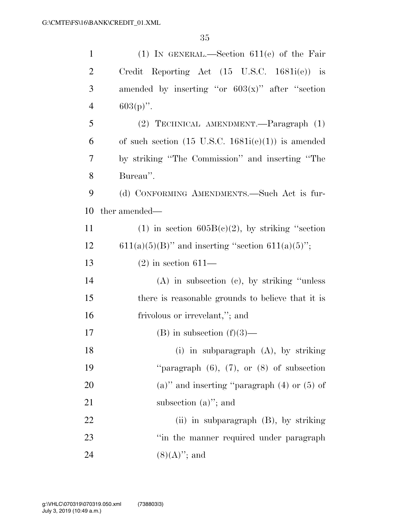| $\mathbf{1}$   | (1) IN GENERAL.—Section $611(e)$ of the Fair                  |
|----------------|---------------------------------------------------------------|
| $\overline{c}$ | Credit Reporting Act $(15 \text{ U.S.C. } 1681i(e))$ is       |
| 3              | amended by inserting "or $603(x)$ " after "section            |
| $\overline{4}$ | $603(p)$ ".                                                   |
| $\mathfrak{S}$ | (2) TECHNICAL AMENDMENT.—Paragraph (1)                        |
| 6              | of such section $(15 \text{ U.S.C. } 1681i(e)(1))$ is amended |
| 7              | by striking "The Commission" and inserting "The               |
| 8              | Bureau".                                                      |
| 9              | (d) CONFORMING AMENDMENTS.—Such Act is fur-                   |
| 10             | ther amended—                                                 |
| 11             | (1) in section $605B(c)(2)$ , by striking "section            |
| 12             | $611(a)(5)(B)$ " and inserting "section $611(a)(5)$ ";        |
| 13             | $(2)$ in section 611—                                         |
| 14             | $(A)$ in subsection $(c)$ , by striking "unless"              |
| 15             | there is reasonable grounds to believe that it is             |
| 16             | frivolous or irrevelant,"; and                                |
| $17\,$         | $(B)$ in subsection $(f)(3)$ —                                |
| 18             | (i) in subparagraph $(A)$ , by striking                       |
| 19             | "paragraph $(6)$ , $(7)$ , or $(8)$ of subsection             |
| 20             | (a)" and inserting "paragraph $(4)$ or $(5)$ of               |
| 21             | subsection $(a)$ "; and                                       |
| 22             | (ii) in subparagraph $(B)$ , by striking                      |
| 23             | "in the manner required under paragraph"                      |
| 24             | $(8)(A)$ "; and                                               |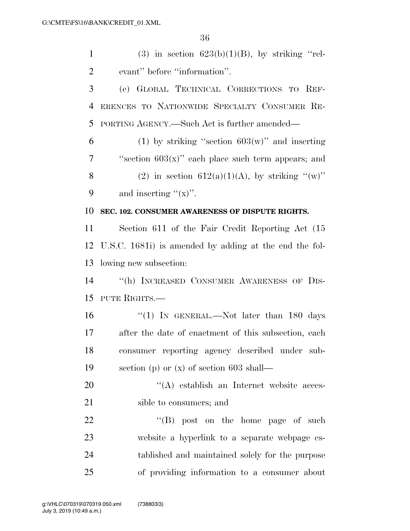1 (3) in section  $623(b)(1)(B)$ , by striking "rel- evant'' before ''information''. (e) GLOBAL TECHNICAL CORRECTIONS TO REF- ERENCES TO NATIONWIDE SPECIALTY CONSUMER RE- PORTING AGENCY.—Such Act is further amended— 6 (1) by striking "section  $603(w)$ " and inserting ''section 603(x)'' each place such term appears; and 8 (2) in section  $612(a)(1)(A)$ , by striking "(w)" 9 and inserting  $f(x)$ . **SEC. 102. CONSUMER AWARENESS OF DISPUTE RIGHTS.**  Section 611 of the Fair Credit Reporting Act (15 U.S.C. 1681i) is amended by adding at the end the fol- lowing new subsection: ''(h) INCREASED CONSUMER AWARENESS OF DIS- PUTE RIGHTS.— 16 "(1) In GENERAL.—Not later than 180 days after the date of enactment of this subsection, each consumer reporting agency described under sub- section (p) or (x) of section 603 shall—  $\langle (A) \rangle$  establish an Internet website acces- sible to consumers; and 22 "'(B) post on the home page of such website a hyperlink to a separate webpage es-tablished and maintained solely for the purpose

of providing information to a consumer about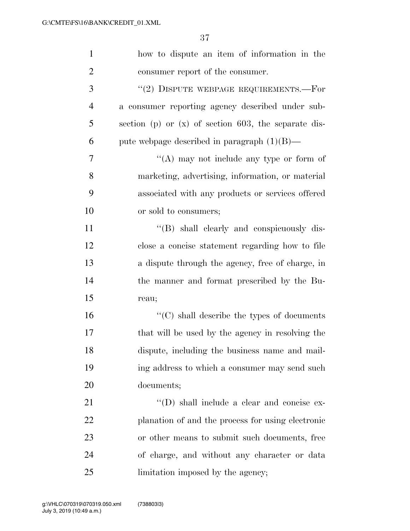| $\mathbf{1}$   | how to dispute an item of information in the           |
|----------------|--------------------------------------------------------|
| $\overline{2}$ | consumer report of the consumer.                       |
| 3              | "(2) DISPUTE WEBPAGE REQUIREMENTS.—For                 |
| $\overline{4}$ | a consumer reporting agency described under sub-       |
| 5              | section (p) or $(x)$ of section 603, the separate dis- |
| 6              | pute webpage described in paragraph $(1)(B)$ —         |
| 7              | "(A) may not include any type or form of               |
| 8              | marketing, advertising, information, or material       |
| 9              | associated with any products or services offered       |
| 10             | or sold to consumers;                                  |
| 11             | "(B) shall clearly and conspicuously dis-              |
| 12             | close a concise statement regarding how to file        |
| 13             | a dispute through the agency, free of charge, in       |
| 14             | the manner and format prescribed by the Bu-            |
| 15             | reau;                                                  |
| 16             | $\lq\lq$ (C) shall describe the types of documents     |
| 17             | that will be used by the agency in resolving the       |
| 18             | dispute, including the business name and mail-         |
| 19             | ing address to which a consumer may send such          |
| 20             | documents;                                             |
| 21             | $\lq\lq$ (D) shall include a clear and concise ex-     |
| 22             | planation of and the process for using electronic      |
| 23             | or other means to submit such documents, free          |
| 24             | of charge, and without any character or data           |
| 25             | limitation imposed by the agency;                      |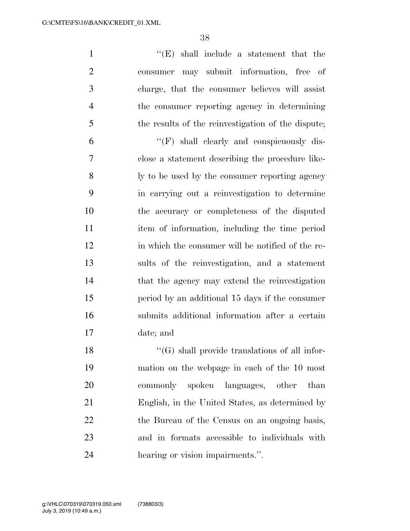''(E) shall include a statement that the consumer may submit information, free of charge, that the consumer believes will assist the consumer reporting agency in determining the results of the reinvestigation of the dispute;

 ''(F) shall clearly and conspicuously dis- close a statement describing the procedure like- ly to be used by the consumer reporting agency in carrying out a reinvestigation to determine the accuracy or completeness of the disputed item of information, including the time period in which the consumer will be notified of the re- sults of the reinvestigation, and a statement 14 that the agency may extend the reinvestigation period by an additional 15 days if the consumer submits additional information after a certain date; and

 ''(G) shall provide translations of all infor- mation on the webpage in each of the 10 most commonly spoken languages, other than English, in the United States, as determined by 22 the Bureau of the Census on an ongoing basis, and in formats accessible to individuals with hearing or vision impairments.''.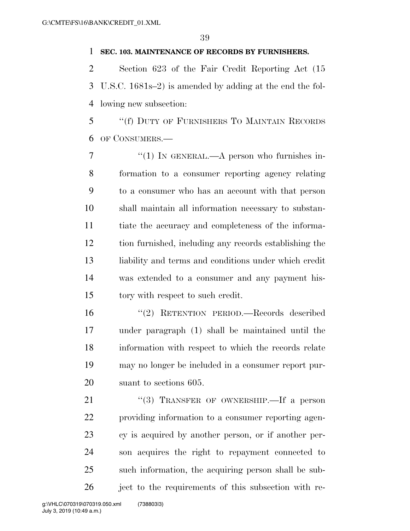## **SEC. 103. MAINTENANCE OF RECORDS BY FURNISHERS.**

 Section 623 of the Fair Credit Reporting Act (15 U.S.C. 1681s–2) is amended by adding at the end the fol-lowing new subsection:

 ''(f) DUTY OF FURNISHERS TO MAINTAIN RECORDS OF CONSUMERS.—

 $\frac{7}{7}$  ''(1) In GENERAL.—A person who furnishes in- formation to a consumer reporting agency relating to a consumer who has an account with that person shall maintain all information necessary to substan- tiate the accuracy and completeness of the informa- tion furnished, including any records establishing the liability and terms and conditions under which credit was extended to a consumer and any payment his-15 tory with respect to such credit.

 ''(2) RETENTION PERIOD.—Records described under paragraph (1) shall be maintained until the information with respect to which the records relate may no longer be included in a consumer report pur-suant to sections 605.

21 "(3) TRANSFER OF OWNERSHIP. If a person providing information to a consumer reporting agen- cy is acquired by another person, or if another per- son acquires the right to repayment connected to such information, the acquiring person shall be sub-ject to the requirements of this subsection with re-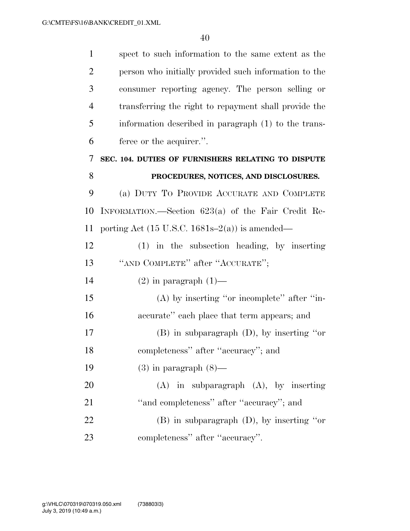| $\mathbf{1}$   | spect to such information to the same extent as the                |
|----------------|--------------------------------------------------------------------|
| $\overline{2}$ | person who initially provided such information to the              |
| 3              | consumer reporting agency. The person selling or                   |
| $\overline{4}$ | transferring the right to repayment shall provide the              |
| 5              | information described in paragraph (1) to the trans-               |
| 6              | feree or the acquirer.".                                           |
| 7              | SEC. 104. DUTIES OF FURNISHERS RELATING TO DISPUTE                 |
| 8              | PROCEDURES, NOTICES, AND DISCLOSURES.                              |
| 9              | (a) DUTY TO PROVIDE ACCURATE AND COMPLETE                          |
| 10             | INFORMATION.—Section $623(a)$ of the Fair Credit Re-               |
| 11             | porting Act $(15 \text{ U.S.C. } 1681\text{s} - 2(a))$ is amended— |
| 12             | $(1)$ in the subsection heading, by inserting                      |
| 13             | "AND COMPLETE" after "ACCURATE";                                   |
| 14             | $(2)$ in paragraph $(1)$ —                                         |
| 15             | $(A)$ by inserting "or incomplete" after "in-                      |
| 16             | accurate" each place that term appears; and                        |
| 17             | $(B)$ in subparagraph $(D)$ , by inserting "or                     |
| 18             | completeness" after "accuracy"; and                                |
| 19             | $(3)$ in paragraph $(8)$ —                                         |
| 20             | $(A)$ in subparagraph $(A)$ , by inserting                         |
| 21             | "and completeness" after "accuracy"; and                           |
| 22             | $(B)$ in subparagraph $(D)$ , by inserting "or                     |
| 23             | completeness" after "accuracy".                                    |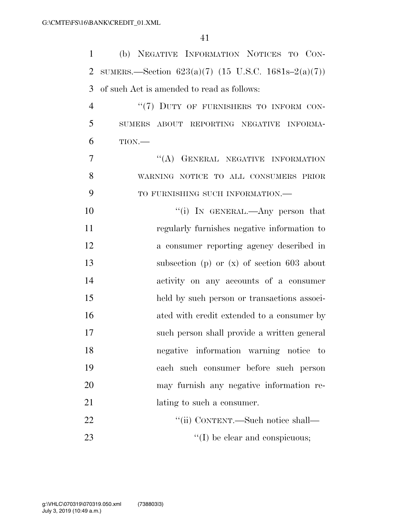| $\mathbf{1}$   | (b) NEGATIVE INFORMATION NOTICES TO CON-              |
|----------------|-------------------------------------------------------|
| $\overline{2}$ | SUMERS.—Section $623(a)(7)$ (15 U.S.C. 1681s–2(a)(7)) |
| 3              | of such Act is amended to read as follows:            |
| $\overline{4}$ | "(7) DUTY OF FURNISHERS TO INFORM CON-                |
| 5              | SUMERS ABOUT REPORTING NEGATIVE INFORMA-              |
| 6              | TION.                                                 |
| 7              | "(A) GENERAL NEGATIVE INFORMATION                     |
| 8              | WARNING NOTICE TO ALL CONSUMERS PRIOR                 |
| 9              | TO FURNISHING SUCH INFORMATION.-                      |
| 10             | "(i) IN GENERAL.—Any person that                      |
| 11             | regularly furnishes negative information to           |
| 12             | a consumer reporting agency described in              |
| 13             | subsection (p) or $(x)$ of section 603 about          |
| 14             | activity on any accounts of a consumer                |
| 15             | held by such person or transactions associ-           |
| 16             | ated with credit extended to a consumer by            |
| 17             | such person shall provide a written general           |
| 18             | negative information warning notice to                |
| 19             | each such consumer before such person                 |
| 20             | may furnish any negative information re-              |
| 21             | lating to such a consumer.                            |
| 22             | "(ii) CONTENT.—Such notice shall—                     |
| 23             | $\lq\lq$ (I) be clear and conspicuous;                |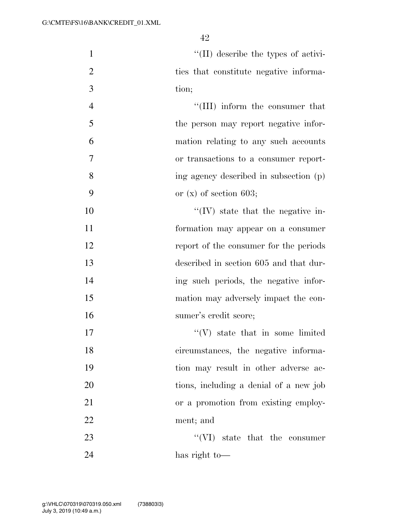| $\mathbf{1}$   | $\lq\lq$ (II) describe the types of activi- |
|----------------|---------------------------------------------|
| $\overline{2}$ | ties that constitute negative informa-      |
| 3              | tion;                                       |
| $\overline{4}$ | "(III) inform the consumer that             |
| 5              | the person may report negative infor-       |
| 6              | mation relating to any such accounts        |
| 7              | or transactions to a consumer report-       |
| 8              | ing agency described in subsection (p)      |
| 9              | or $(x)$ of section 603;                    |
| 10             | $\lq\lq$ (IV) state that the negative in-   |
| 11             | formation may appear on a consumer          |
| 12             | report of the consumer for the periods      |
| 13             | described in section 605 and that dur-      |
| 14             | ing such periods, the negative infor-       |
| 15             | mation may adversely impact the con-        |
| 16             | sumer's credit score;                       |
| 17             | $\lq\lq(V)$ state that in some limited      |
| 18             | circumstances, the negative informa-        |
| 19             | tion may result in other adverse ac-        |
| 20             | tions, including a denial of a new job      |
| 21             | or a promotion from existing employ-        |
| 22             | ment; and                                   |
| 23             | $\lq\lq$ (VI) state that the consumer       |
| 24             | has right to-                               |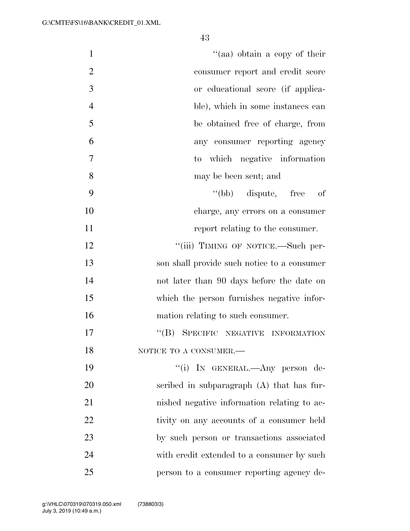| $\mathbf{1}$   | "(aa) obtain a copy of their                  |
|----------------|-----------------------------------------------|
| $\overline{2}$ | consumer report and credit score              |
| 3              | or educational score (if applica-             |
| $\overline{4}$ | ble), which in some instances can             |
| 5              | be obtained free of charge, from              |
| 6              | any consumer reporting agency                 |
| $\overline{7}$ | to which negative information                 |
| 8              | may be been sent; and                         |
| 9              | "(bb) dispute, free<br>of                     |
| 10             | charge, any errors on a consumer              |
| 11             | report relating to the consumer.              |
| 12             | "(iii) TIMING OF NOTICE.—Such per-            |
| 13             | son shall provide such notice to a consumer   |
| 14             | not later than 90 days before the date on     |
| 15             | which the person furnishes negative infor-    |
| 16             | mation relating to such consumer.             |
| 17             | $\lq\lq (B)$<br>SPECIFIC NEGATIVE INFORMATION |
| 18             | NOTICE TO A CONSUMER. $-$                     |
| 19             | "(i) IN GENERAL.—Any person de-               |
| 20             | scribed in subparagraph $(A)$ that has fur-   |
| 21             | nished negative information relating to ac-   |
| 22             | tivity on any accounts of a consumer held     |
| 23             | by such person or transactions associated     |
| 24             | with credit extended to a consumer by such    |
| 25             | person to a consumer reporting agency de-     |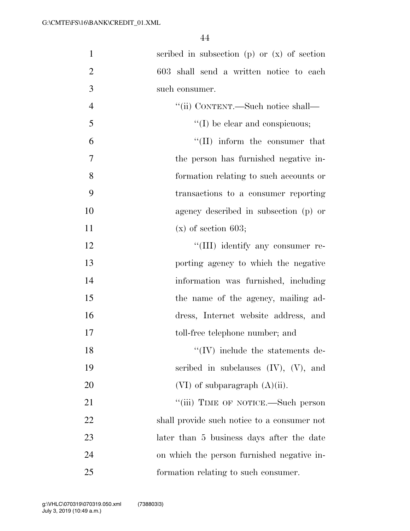| $\mathbf{1}$   | scribed in subsection (p) or $(x)$ of section |
|----------------|-----------------------------------------------|
| $\overline{2}$ | 603 shall send a written notice to each       |
| 3              | such consumer.                                |
| $\overline{4}$ | "(ii) CONTENT.—Such notice shall—             |
| 5              | "(I) be clear and conspicuous;                |
| 6              | "(II) inform the consumer that                |
| $\overline{7}$ | the person has furnished negative in-         |
| 8              | formation relating to such accounts or        |
| 9              | transactions to a consumer reporting          |
| 10             | agency described in subsection (p) or         |
| 11             | $(x)$ of section 603;                         |
| 12             | "(III) identify any consumer re-              |
| 13             | porting agency to which the negative          |
| 14             | information was furnished, including          |
| 15             | the name of the agency, mailing ad-           |
| 16             | dress, Internet website address, and          |
| 17             | toll-free telephone number; and               |
| 18             | $\lq\lq$ (IV) include the statements de-      |
| 19             | scribed in subclauses $(IV)$ , $(V)$ , and    |
| 20             | $(VI)$ of subparagraph $(A)(ii)$ .            |
| 21             | "(iii) TIME OF NOTICE.—Such person            |
| 22             | shall provide such notice to a consumer not   |
| 23             | later than 5 business days after the date     |
| 24             | on which the person furnished negative in-    |
| 25             | formation relating to such consumer.          |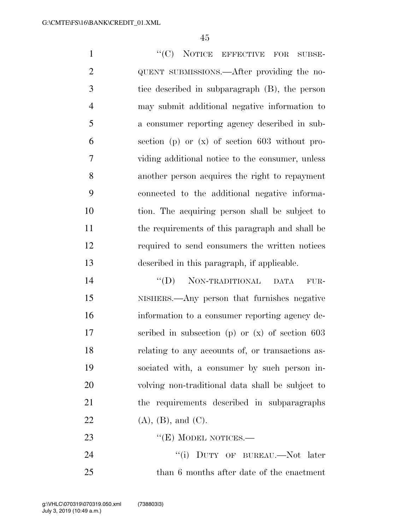1 "'(C) NOTICE EFFECTIVE FOR SUBSE-2 QUENT SUBMISSIONS.—After providing the no- tice described in subparagraph (B), the person may submit additional negative information to a consumer reporting agency described in sub- section (p) or (x) of section 603 without pro- viding additional notice to the consumer, unless another person acquires the right to repayment connected to the additional negative informa- tion. The acquiring person shall be subject to the requirements of this paragraph and shall be required to send consumers the written notices described in this paragraph, if applicable.

14 "(D) NON-TRADITIONAL DATA FUR- NISHERS.—Any person that furnishes negative information to a consumer reporting agency de- scribed in subsection (p) or (x) of section 603 relating to any accounts of, or transactions as- sociated with, a consumer by such person in- volving non-traditional data shall be subject to the requirements described in subparagraphs 22 (A), (B), and (C).

23 "'(E) MODEL NOTICES.—

24 "(i) DUTY OF BUREAU.—Not later than 6 months after date of the enactment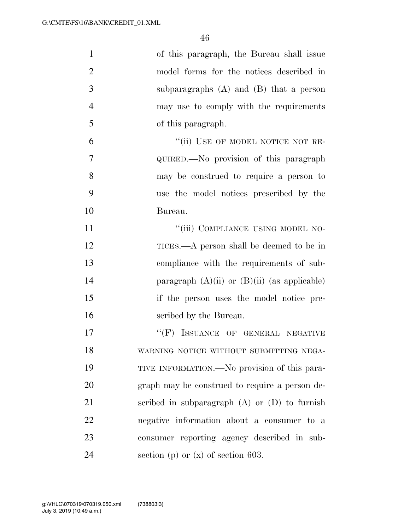| $\mathbf{1}$   | of this paragraph, the Bureau shall issue         |
|----------------|---------------------------------------------------|
| $\overline{2}$ | model forms for the notices described in          |
| 3              | subparagraphs $(A)$ and $(B)$ that a person       |
| $\overline{4}$ | may use to comply with the requirements           |
| 5              | of this paragraph.                                |
| 6              | "(ii) USE OF MODEL NOTICE NOT RE-                 |
| 7              | QUIRED.—No provision of this paragraph            |
| 8              | may be construed to require a person to           |
| 9              | use the model notices prescribed by the           |
| 10             | Bureau.                                           |
| 11             | "(iii) COMPLIANCE USING MODEL NO-                 |
| 12             | TICES.—A person shall be deemed to be in          |
| 13             | compliance with the requirements of sub-          |
| 14             | paragraph $(A)(ii)$ or $(B)(ii)$ (as applicable)  |
| 15             | if the person uses the model notice pre-          |
| 16             | scribed by the Bureau.                            |
| 17             | "(F) ISSUANCE OF GENERAL NEGATIVE                 |
| 18             | WARNING NOTICE WITHOUT SUBMITTING NEGA-           |
| 19             | TIVE INFORMATION.—No provision of this para-      |
| 20             | graph may be construed to require a person de-    |
| 21             | scribed in subparagraph $(A)$ or $(D)$ to furnish |
| 22             | negative information about a consumer to a        |
| 23             | consumer reporting agency described in sub-       |
| 24             | section (p) or $(x)$ of section 603.              |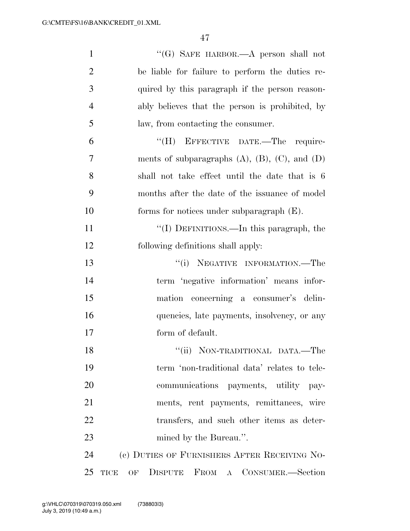| $\mathbf{1}$   | "(G) SAFE HARBOR.—A person shall not                     |
|----------------|----------------------------------------------------------|
| $\overline{2}$ | be liable for failure to perform the duties re-          |
| 3              | quired by this paragraph if the person reason-           |
| $\overline{4}$ | ably believes that the person is prohibited, by          |
| 5              | law, from contacting the consumer.                       |
| 6              | "(H) EFFECTIVE DATE.—The require-                        |
| 7              | ments of subparagraphs $(A)$ , $(B)$ , $(C)$ , and $(D)$ |
| 8              | shall not take effect until the date that is 6           |
| 9              | months after the date of the issuance of model           |
| 10             | forms for notices under subparagraph $(E)$ .             |
| 11             | "(I) DEFINITIONS.—In this paragraph, the                 |
| 12             | following definitions shall apply:                       |
| 13             | "(i) NEGATIVE INFORMATION.—The                           |
| 14             | term 'negative information' means infor-                 |
| 15             | mation concerning a consumer's delin-                    |
| 16             | quencies, late payments, insolvency, or any              |
| 17             | form of default.                                         |
| 18             | "(ii) NON-TRADITIONAL DATA.—The                          |
| 19             | term 'non-traditional data' relates to tele-             |
| 20             | communications payments, utility pay-                    |
| 21             | ments, rent payments, remittances, wire                  |
| 22             | transfers, and such other items as deter-                |
| 23             | mined by the Bureau.".                                   |
| 24             | (c) DUTIES OF FURNISHERS AFTER RECEIVING NO-             |
| 25             | DISPUTE FROM A CONSUMER.-Section<br><b>TICE</b><br>OF    |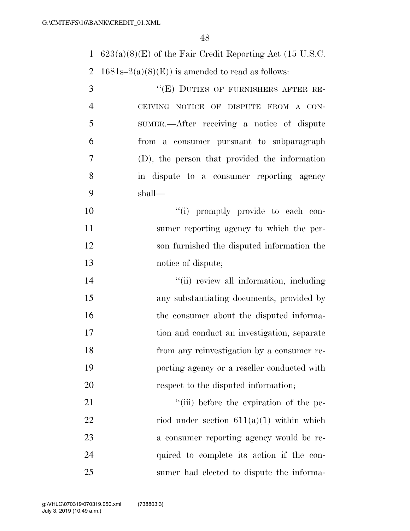623(a)(8)(E) of the Fair Credit Reporting Act (15 U.S.C.

2 1681s–2(a)(8)(E)) is amended to read as follows:

| 3              | "(E) DUTIES OF FURNISHERS AFTER RE-           |
|----------------|-----------------------------------------------|
| $\overline{4}$ | CEIVING NOTICE OF DISPUTE FROM A CON-         |
| $\overline{5}$ | SUMER.—After receiving a notice of dispute    |
| 6              | from a consumer pursuant to subparagraph      |
| 7              | (D), the person that provided the information |
| 8              | in dispute to a consumer reporting agency     |
| 9              | shall—                                        |

 $"$ (i) promptly provide to each con- sumer reporting agency to which the per- son furnished the disputed information the notice of dispute;

 $\frac{1}{\sin \theta}$  ''(ii) review all information, including any substantiating documents, provided by 16 the consumer about the disputed informa- tion and conduct an investigation, separate from any reinvestigation by a consumer re- porting agency or a reseller conducted with 20 respect to the disputed information;

 $\frac{1}{1}$   $\frac{1}{1}$  before the expiration of the pe-22 riod under section  $611(a)(1)$  within which a consumer reporting agency would be re- quired to complete its action if the con-sumer had elected to dispute the informa-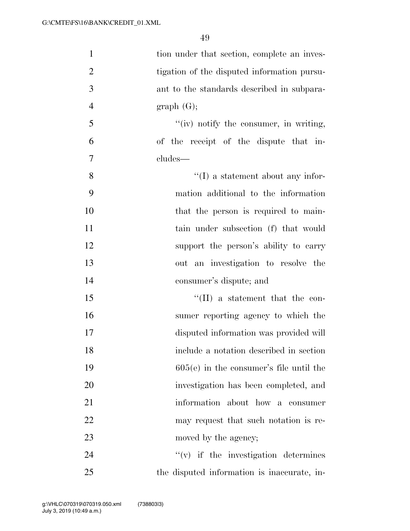| $\mathbf{1}$   | tion under that section, complete an inves- |
|----------------|---------------------------------------------|
| $\overline{2}$ | tigation of the disputed information pursu- |
| 3              | ant to the standards described in subpara-  |
| $\overline{4}$ | graph(G);                                   |
| 5              | $f'(iv)$ notify the consumer, in writing,   |
| 6              | of the receipt of the dispute that in-      |
| 7              | cludes—                                     |
| 8              | $\lq\lq$ a statement about any infor-       |
| 9              | mation additional to the information        |
| 10             | that the person is required to main-        |
| 11             | tain under subsection (f) that would        |
| 12             | support the person's ability to carry       |
| 13             | out an investigation to resolve the         |
| 14             | consumer's dispute; and                     |
| 15             | $\lq\lq$ (II) a statement that the con-     |
| 16             | sumer reporting agency to which the         |
| 17             | disputed information was provided will      |
| 18             | include a notation described in section     |
| 19             | $605(e)$ in the consumer's file until the   |
| 20             | investigation has been completed, and       |
| 21             | information about how a consumer            |
| 22             | may request that such notation is re-       |
| 23             | moved by the agency;                        |
| 24             | $f'(v)$ if the investigation determines     |
| 25             | the disputed information is inaccurate, in- |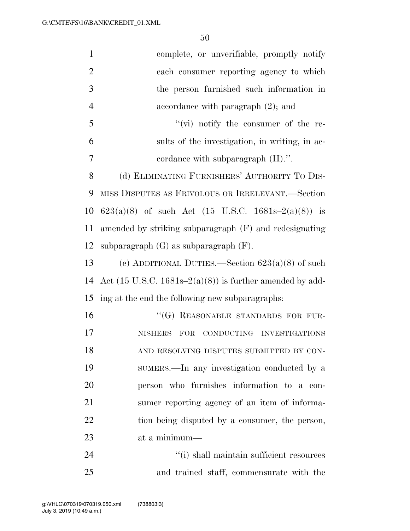| $\mathbf{1}$   | complete, or unverifiable, promptly notify                                   |
|----------------|------------------------------------------------------------------------------|
| $\overline{2}$ | each consumer reporting agency to which                                      |
| 3              | the person furnished such information in                                     |
| $\overline{4}$ | accordance with paragraph $(2)$ ; and                                        |
| 5              | $``(vi)$ notify the consumer of the re-                                      |
| 6              | sults of the investigation, in writing, in ac-                               |
| $\overline{7}$ | cordance with subparagraph $(H)$ .".                                         |
| 8              | (d) ELIMINATING FURNISHERS' AUTHORITY TO DIS-                                |
| 9              | MISS DISPUTES AS FRIVOLOUS OR IRRELEVANT.—Section                            |
| 10             | 623(a)(8) of such Act (15 U.S.C. 1681s-2(a)(8)) is                           |
| 11             | amended by striking subparagraph (F) and redesignating                       |
| 12             | subparagraph $(G)$ as subparagraph $(F)$ .                                   |
| 13             | (e) ADDITIONAL DUTIES.—Section $623(a)(8)$ of such                           |
| 14             | Act $(15 \text{ U.S.C. } 1681\text{s} - 2(a)(8))$ is further amended by add- |
| 15             | ing at the end the following new subparagraphs:                              |
| 16             | "(G) REASONABLE STANDARDS FOR FUR-                                           |
| 17             | $\rm FOR$<br><b>NISHERS</b><br>CONDUCTING INVESTIGATIONS                     |
| 18             | AND RESOLVING DISPUTES SUBMITTED BY CON-                                     |
| 19             | SUMERS.—In any investigation conducted by a                                  |
| 20             | person who furnishes information to a con-                                   |
| 21             | sumer reporting agency of an item of informa-                                |
| 22             | tion being disputed by a consumer, the person,                               |
| 23             | at a minimum—                                                                |
| 24             | "(i) shall maintain sufficient resources                                     |
| 25             | and trained staff, commensurate with the                                     |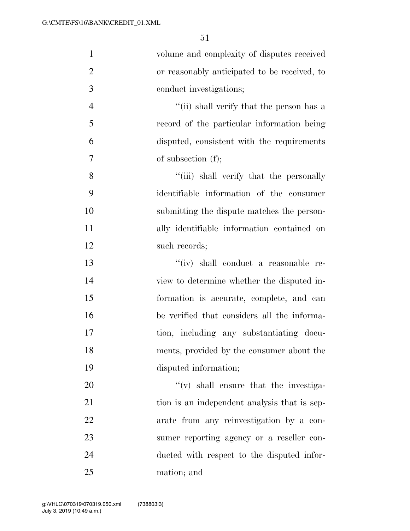| $\mathbf{1}$   | volume and complexity of disputes received   |
|----------------|----------------------------------------------|
| $\overline{2}$ | or reasonably anticipated to be received, to |
| 3              | conduct investigations;                      |
| $\overline{4}$ | "(ii) shall verify that the person has a     |
| 5              | record of the particular information being   |
| 6              | disputed, consistent with the requirements   |
| $\overline{7}$ | of subsection $(f)$ ;                        |
| 8              | "(iii) shall verify that the personally      |
| 9              | identifiable information of the consumer     |
| 10             | submitting the dispute matches the person-   |
| 11             | ally identifiable information contained on   |
| 12             | such records;                                |
| 13             | "(iv) shall conduct a reasonable re-         |
| 14             | view to determine whether the disputed in-   |
| 15             | formation is accurate, complete, and can     |
| 16             | be verified that considers all the informa-  |
| 17             | tion, including any substantiating docu-     |
| 18             | ments, provided by the consumer about the    |
| 19             | disputed information;                        |
| 20             | $f'(v)$ shall ensure that the investiga-     |
| 21             | tion is an independent analysis that is sep- |
| 22             | arate from any reinvestigation by a con-     |
| 23             | sumer reporting agency or a reseller con-    |
| 24             | ducted with respect to the disputed infor-   |
| 25             | mation; and                                  |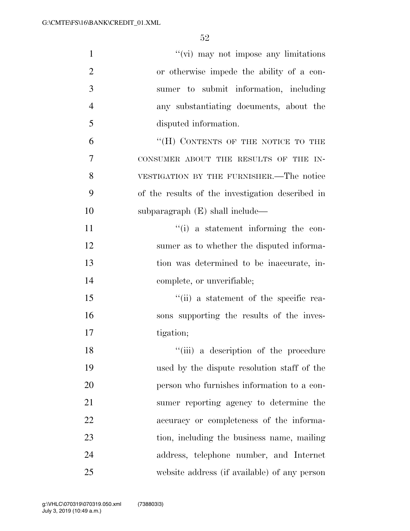| $\mathbf{1}$   | "(vi) may not impose any limitations             |
|----------------|--------------------------------------------------|
| $\overline{2}$ | or otherwise impede the ability of a con-        |
| 3              | sumer to submit information, including           |
| $\overline{4}$ | any substantiating documents, about the          |
| 5              | disputed information.                            |
| 6              | "(H) CONTENTS OF THE NOTICE TO THE               |
| 7              | CONSUMER ABOUT THE RESULTS OF THE IN-            |
| 8              | VESTIGATION BY THE FURNISHER.—The notice         |
| 9              | of the results of the investigation described in |
| 10             | subparagraph $(E)$ shall include—                |
| 11             | $\lq\lq(i)$ a statement informing the con-       |
| 12             | sumer as to whether the disputed informa-        |
| 13             | tion was determined to be inaccurate, in-        |
| 14             | complete, or unverifiable;                       |
| 15             | "(ii) a statement of the specific rea-           |
| 16             | sons supporting the results of the inves-        |
| 17             | tigation;                                        |
| 18             | "(iii) a description of the procedure            |
| 19             | used by the dispute resolution staff of the      |
| 20             | person who furnishes information to a con-       |
| 21             | sumer reporting agency to determine the          |
| 22             | accuracy or completeness of the informa-         |
| 23             | tion, including the business name, mailing       |
| 24             | address, telephone number, and Internet          |
| 25             | website address (if available) of any person     |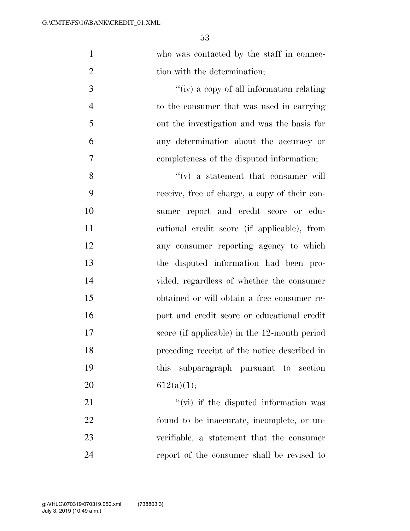| $\mathbf{1}$   | who was contacted by the staff in connec-     |
|----------------|-----------------------------------------------|
| $\overline{2}$ | tion with the determination;                  |
| 3              | "(iv) a copy of all information relating      |
| $\overline{4}$ | to the consumer that was used in carrying     |
| 5              | out the investigation and was the basis for   |
| 6              | any determination about the accuracy or       |
| 7              | completeness of the disputed information;     |
| 8              | $f'(v)$ a statement that consumer will        |
| 9              | receive, free of charge, a copy of their con- |
| 10             | sumer report and credit score or edu-         |
| 11             | cational credit score (if applicable), from   |
| 12             | any consumer reporting agency to which        |
| 13             | the disputed information had been pro-        |
| 14             | vided, regardless of whether the consumer     |
| 15             | obtained or will obtain a free consumer re-   |
| 16             | port and credit score or educational credit   |
| 17             | score (if applicable) in the 12-month period  |
| 18             | preceding receipt of the notice described in  |
| 19             | subparagraph pursuant to section<br>this      |
| 20             | 612(a)(1);                                    |
| 21             | "(vi) if the disputed information was         |
| 22             | found to be inaccurate, incomplete, or un-    |
| 23             | verifiable, a statement that the consumer     |
| 24             | report of the consumer shall be revised to    |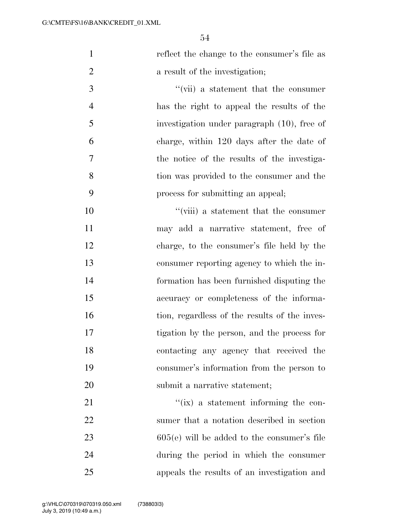| $\mathbf{1}$   | reflect the change to the consumer's file as  |
|----------------|-----------------------------------------------|
| $\overline{2}$ | a result of the investigation;                |
| 3              | $\lq\lq$ (vii) a statement that the consumer  |
| $\overline{4}$ | has the right to appeal the results of the    |
| 5              | investigation under paragraph (10), free of   |
| 6              | charge, within 120 days after the date of     |
| 7              | the notice of the results of the investiga-   |
| 8              | tion was provided to the consumer and the     |
| 9              | process for submitting an appeal;             |
| 10             | "(viii) a statement that the consumer         |
| 11             | may add a narrative statement, free of        |
| 12             | charge, to the consumer's file held by the    |
| 13             | consumer reporting agency to which the in-    |
| 14             | formation has been furnished disputing the    |
| 15             | accuracy or completeness of the informa-      |
| 16             | tion, regardless of the results of the inves- |
| 17             | tigation by the person, and the process for   |
| 18             | contacting any agency that received the       |
| 19             | consumer's information from the person to     |
| 20             | submit a narrative statement;                 |
| 21             | $\lq\lq$ (ix) a statement informing the con-  |
| 22             | sumer that a notation described in section    |
| 23             | $605(e)$ will be added to the consumer's file |
| 24             | during the period in which the consumer       |
| 25             | appeals the results of an investigation and   |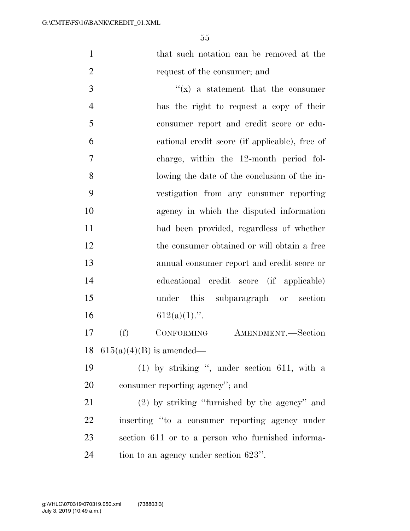that such notation can be removed at the request of the consumer; and

 ''(x) a statement that the consumer has the right to request a copy of their consumer report and credit score or edu- cational credit score (if applicable), free of charge, within the 12-month period fol- lowing the date of the conclusion of the in- vestigation from any consumer reporting agency in which the disputed information had been provided, regardless of whether 12 the consumer obtained or will obtain a free annual consumer report and credit score or educational credit score (if applicable) under this subparagraph or section 16 612(a)(1).".

 (f) CONFORMING AMENDMENT.—Section 18  $615(a)(4)(B)$  is amended—

19 (1) by striking ", under section 611, with a consumer reporting agency''; and

 (2) by striking ''furnished by the agency'' and inserting ''to a consumer reporting agency under section 611 or to a person who furnished informa-tion to an agency under section 623''.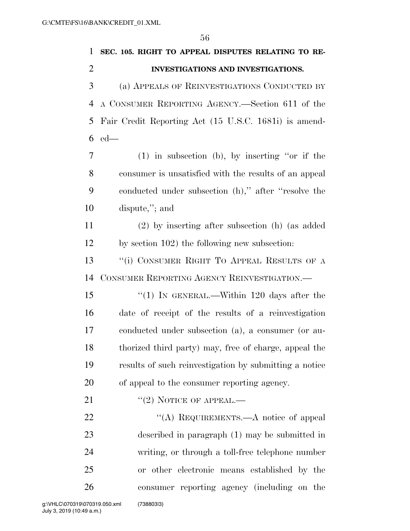| 1              | SEC. 105. RIGHT TO APPEAL DISPUTES RELATING TO RE-     |
|----------------|--------------------------------------------------------|
| $\overline{2}$ | <b>INVESTIGATIONS AND INVESTIGATIONS.</b>              |
| 3              | (a) APPEALS OF REINVESTIGATIONS CONDUCTED BY           |
| 4              | A CONSUMER REPORTING AGENCY.—Section 611 of the        |
| 5              | Fair Credit Reporting Act (15 U.S.C. 1681i) is amend-  |
| 6              | $ed$ —                                                 |
| 7              | $(1)$ in subsection (b), by inserting "or if the       |
| 8              | consumer is unsatisfied with the results of an appeal  |
| 9              | conducted under subsection (h)," after "resolve the    |
| 10             | dispute,"; and                                         |
| 11             | $(2)$ by inserting after subsection (h) (as added      |
| 12             | by section 102) the following new subsection:          |
| 13             | "(i) CONSUMER RIGHT TO APPEAL RESULTS OF A             |
| 14             | CONSUMER REPORTING AGENCY REINVESTIGATION.—            |
| 15             | "(1) IN GENERAL.—Within 120 days after the             |
| 16             | date of receipt of the results of a reinvestigation    |
| 17             | conducted under subsection (a), a consumer (or au-     |
| 18             | thorized third party) may, free of charge, appeal the  |
| 19             | results of such reinvestigation by submitting a notice |
| 20             | of appeal to the consumer reporting agency.            |
| 21             | $"(2)$ NOTICE OF APPEAL.—                              |
| 22             | "(A) REQUIREMENTS.—A notice of appeal                  |
| 23             | described in paragraph (1) may be submitted in         |
| 24             | writing, or through a toll-free telephone number       |
| 25             | or other electronic means established by the           |
| 26             | consumer reporting agency (including on the            |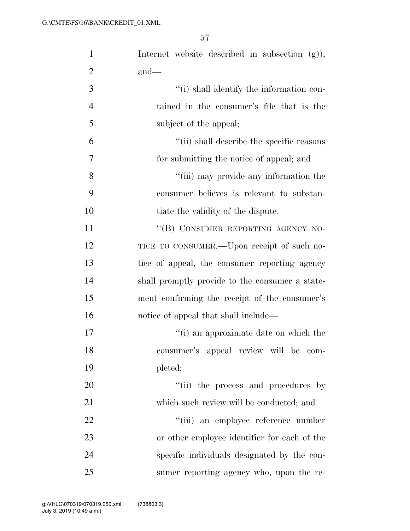| $\mathbf{1}$   | Internet website described in subsection $(g)$ ), |
|----------------|---------------------------------------------------|
| $\overline{2}$ | $and$ —                                           |
| 3              | "(i) shall identify the information con-          |
| $\overline{4}$ | tained in the consumer's file that is the         |
| 5              | subject of the appeal;                            |
| 6              | "(ii) shall describe the specific reasons         |
| 7              | for submitting the notice of appeal; and          |
| 8              | "(iii) may provide any information the            |
| 9              | consumer believes is relevant to substan-         |
| 10             | tiate the validity of the dispute.                |
| 11             | "(B) CONSUMER REPORTING AGENCY NO-                |
| 12             | TICE TO CONSUMER.—Upon receipt of such no-        |
| 13             | tice of appeal, the consumer reporting agency     |
| 14             | shall promptly provide to the consumer a state-   |
| 15             | ment confirming the receipt of the consumer's     |
| 16             | notice of appeal that shall include—              |
| 17             | "(i) an approximate date on which the             |
| 18             | consumer's appeal review will be com-             |
| 19             | pleted;                                           |
| 20             | "(ii) the process and procedures by               |
| 21             | which such review will be conducted; and          |
| 22             | "(iii) an employee reference number               |
| 23             | or other employee identifier for each of the      |
| 24             | specific individuals designated by the con-       |
| 25             | sumer reporting agency who, upon the re-          |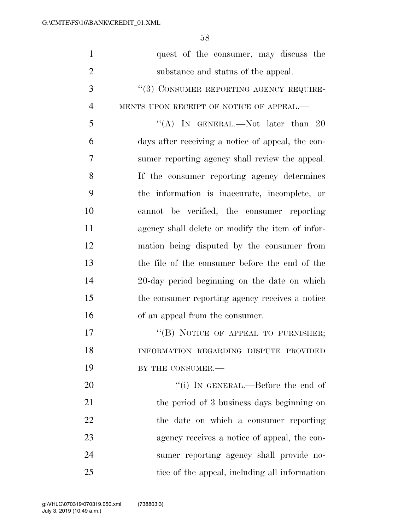| $\mathbf{1}$   | quest of the consumer, may discuss the            |
|----------------|---------------------------------------------------|
| $\overline{2}$ | substance and status of the appeal.               |
| 3              | "(3) CONSUMER REPORTING AGENCY REQUIRE-           |
| $\overline{4}$ | MENTS UPON RECEIPT OF NOTICE OF APPEAL.-          |
| 5              | "(A) IN GENERAL.—Not later than 20                |
| 6              | days after receiving a notice of appeal, the con- |
| 7              | sumer reporting agency shall review the appeal.   |
| 8              | If the consumer reporting agency determines       |
| 9              | the information is inaccurate, incomplete, or     |
| 10             | cannot be verified, the consumer reporting        |
| 11             | agency shall delete or modify the item of infor-  |
| 12             | mation being disputed by the consumer from        |
| 13             | the file of the consumer before the end of the    |
| 14             | 20-day period beginning on the date on which      |
| 15             | the consumer reporting agency receives a notice   |
| 16             | of an appeal from the consumer.                   |
| 17             | "(B) NOTICE OF APPEAL TO FURNISHER;               |
| 18             | INFORMATION REGARDING DISPUTE PROVIDED            |
| 19             | BY THE CONSUMER.-                                 |
| 20             | "(i) IN GENERAL.—Before the end of                |
| 21             | the period of 3 business days beginning on        |
| 22             | the date on which a consumer reporting            |
| 23             | agency receives a notice of appeal, the con-      |
| 24             | sumer reporting agency shall provide no-          |
| 25             | tice of the appeal, including all information     |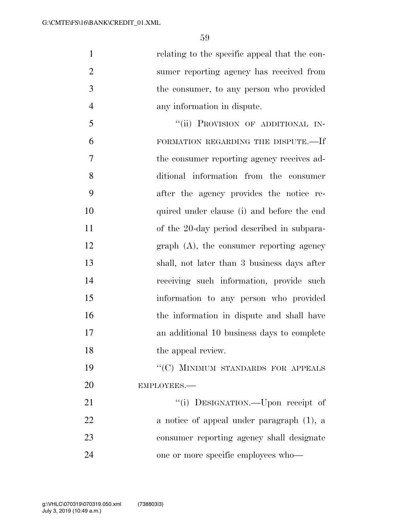relating to the specific appeal that the con- sumer reporting agency has received from the consumer, to any person who provided any information in dispute.

5 "(ii) PROVISION OF ADDITIONAL IN- FORMATION REGARDING THE DISPUTE.—If the consumer reporting agency receives ad- ditional information from the consumer after the agency provides the notice re- quired under clause (i) and before the end of the 20-day period described in subpara- graph (A), the consumer reporting agency shall, not later than 3 business days after receiving such information, provide such information to any person who provided the information in dispute and shall have an additional 10 business days to complete 18 the appeal review. 19 "'(C) MINIMUM STANDARDS FOR APPEALS

EMPLOYEES.—

 $\text{``(i)}$  DESIGNATION.—Upon receipt of a notice of appeal under paragraph (1), a consumer reporting agency shall designate one or more specific employees who—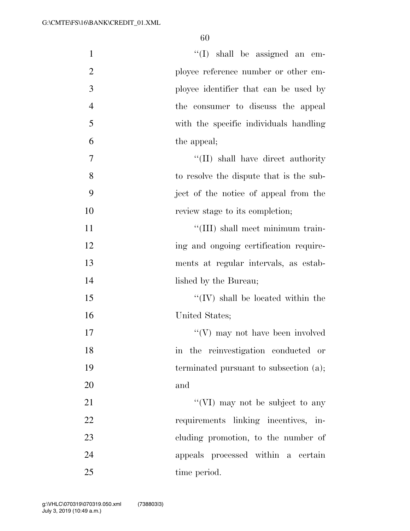| $\mathbf{1}$   | $\lq\lq$ shall be assigned an em-         |
|----------------|-------------------------------------------|
| $\overline{2}$ | ployee reference number or other em-      |
| 3              | ployee identifier that can be used by     |
| $\overline{4}$ | the consumer to discuss the appeal        |
| 5              | with the specific individuals handling    |
| 6              | the appeal;                               |
| $\overline{7}$ | "(II) shall have direct authority"        |
| 8              | to resolve the dispute that is the sub-   |
| 9              | ject of the notice of appeal from the     |
| 10             | review stage to its completion;           |
| 11             | "(III) shall meet minimum train-          |
| 12             | ing and ongoing certification require-    |
| 13             | ments at regular intervals, as estab-     |
| 14             | lished by the Bureau;                     |
| 15             | $\lq\lq (IV)$ shall be located within the |
| 16             | United States;                            |
| 17             | $\lq\lq(V)$ may not have been involved    |
| 18             | in the reinvestigation conducted or       |
| 19             | terminated pursuant to subsection (a);    |
| 20             | and                                       |
| 21             | "(VI) may not be subject to any           |
| 22             | requirements linking incentives, in-      |
| 23             | cluding promotion, to the number of       |
| 24             | appeals processed within a certain        |
| 25             | time period.                              |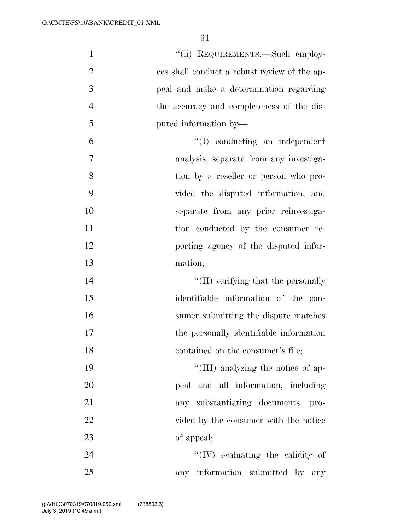| $\mathbf{1}$   | "(ii) REQUIREMENTS.—Such employ-             |
|----------------|----------------------------------------------|
| $\overline{2}$ | ees shall conduct a robust review of the ap- |
| 3              | peal and make a determination regarding      |
| $\overline{4}$ | the accuracy and completeness of the dis-    |
| 5              | puted information by—                        |
| 6              | $\lq\lq$ conducting an independent           |
| 7              | analysis, separate from any investiga-       |
| 8              | tion by a reseller or person who pro-        |
| 9              | vided the disputed information, and          |
| 10             | separate from any prior reinvestiga-         |
| 11             | tion conducted by the consumer re-           |
| 12             | porting agency of the disputed infor-        |
| 13             | mation;                                      |
| 14             | "(II) verifying that the personally          |
| 15             | identifiable information of the con-         |
| 16             | sumer submitting the dispute matches         |
| 17             | the personally identifiable information      |
| 18             | contained on the consumer's file;            |
| 19             | "(III) analyzing the notice of ap-           |
| 20             | peal and all information, including          |
| 21             | any substantiating documents, pro-           |
| 22             | vided by the consumer with the notice        |
| 23             | of appeal;                                   |
| 24             | $\lq\lq$ (IV) evaluating the validity of     |
| 25             | any information submitted by any             |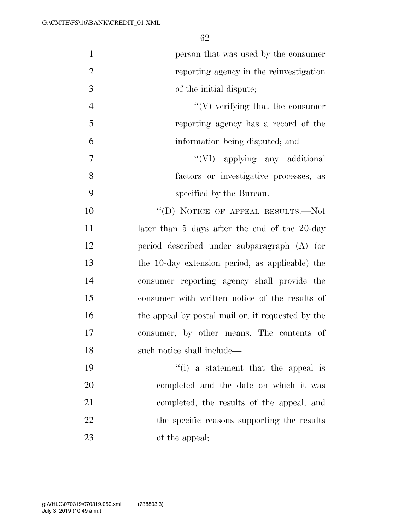| $\mathbf{1}$   | person that was used by the consumer              |
|----------------|---------------------------------------------------|
| $\overline{2}$ | reporting agency in the reinvestigation           |
| 3              | of the initial dispute;                           |
| $\overline{4}$ | $\lq\lq(V)$ verifying that the consumer           |
| 5              | reporting agency has a record of the              |
| 6              | information being disputed; and                   |
| $\overline{7}$ | "(VI) applying any additional                     |
| 8              | factors or investigative processes, as            |
| 9              | specified by the Bureau.                          |
| 10             | "(D) NOTICE OF APPEAL RESULTS.—Not                |
| 11             | later than 5 days after the end of the 20-day     |
| 12             | period described under subparagraph (A) (or       |
| 13             | the 10-day extension period, as applicable) the   |
| 14             | consumer reporting agency shall provide the       |
| 15             | consumer with written notice of the results of    |
| 16             | the appeal by postal mail or, if requested by the |
| 17             | consumer, by other means. The contents of         |
| 18             | such notice shall include—                        |
| 19             | "(i) a statement that the appeal is               |
| 20             | completed and the date on which it was            |
| 21             | completed, the results of the appeal, and         |
| 22             | the specific reasons supporting the results       |
| 23             | of the appeal;                                    |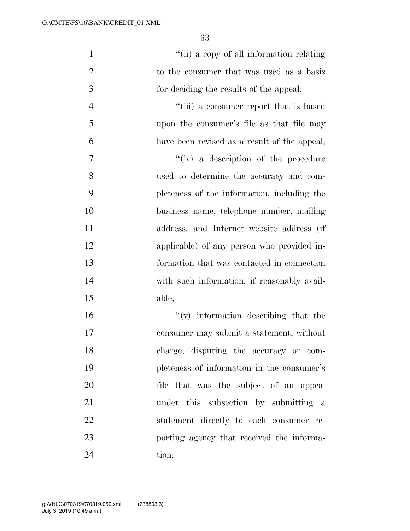| $\mathbf{1}$   | "(ii) a copy of all information relating     |
|----------------|----------------------------------------------|
| $\overline{2}$ | to the consumer that was used as a basis     |
| 3              | for deciding the results of the appeal;      |
| $\overline{4}$ | "(iii) a consumer report that is based       |
| 5              | upon the consumer's file as that file may    |
| 6              | have been revised as a result of the appeal; |
| 7              | "(iv) a description of the procedure         |
| 8              | used to determine the accuracy and com-      |
| 9              | pleteness of the information, including the  |
| 10             | business name, telephone number, mailing     |
| 11             | address, and Internet website address (if    |
| 12             | applicable) of any person who provided in-   |
| 13             | formation that was contacted in connection   |
| 14             | with such information, if reasonably avail-  |
| 15             | able;                                        |
| 16             | $f'(v)$ information describing that the      |
| 17             | consumer may submit a statement, without     |
| 18             | charge, disputing the accuracy or com-       |
| 19             | pleteness of information in the consumer's   |
| 20             | file that was the subject of an appeal       |
| 21             | under this subsection by submitting a        |
| 22             | statement directly to each consumer re-      |
| 23             | porting agency that received the informa-    |
| 24             | tion;                                        |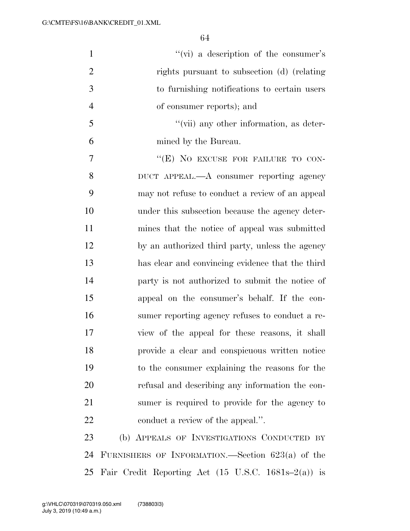| $\mathbf{1}$   | "(vi) a description of the consumer's              |
|----------------|----------------------------------------------------|
| $\overline{2}$ | rights pursuant to subsection (d) (relating        |
| 3              | to furnishing notifications to certain users       |
| $\overline{4}$ | of consumer reports); and                          |
| 5              | $\lq\lq$ (vii) any other information, as deter-    |
| 6              | mined by the Bureau.                               |
| 7              | "(E) NO EXCUSE FOR FAILURE TO CON-                 |
| 8              | DUCT APPEAL.—A consumer reporting agency           |
| 9              | may not refuse to conduct a review of an appeal    |
| 10             | under this subsection because the agency deter-    |
| 11             | mines that the notice of appeal was submitted      |
| 12             | by an authorized third party, unless the agency    |
| 13             | has clear and convincing evidence that the third   |
| 14             | party is not authorized to submit the notice of    |
| 15             | appeal on the consumer's behalf. If the con-       |
| 16             | sumer reporting agency refuses to conduct a re-    |
| 17             | view of the appeal for these reasons, it shall     |
| 18             | provide a clear and conspicuous written notice     |
| 19             | to the consumer explaining the reasons for the     |
| 20             | refusal and describing any information the con-    |
| 21             | sumer is required to provide for the agency to     |
| 22             | conduct a review of the appeal.".                  |
| 23             | (b) APPEALS OF INVESTIGATIONS CONDUCTED BY         |
| 24             | FURNISHERS OF INFORMATION.—Section $623(a)$ of the |
|                |                                                    |

Fair Credit Reporting Act (15 U.S.C. 1681s–2(a)) is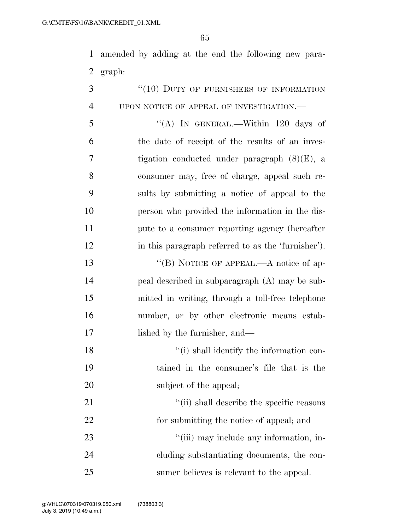amended by adding at the end the following new para-graph:

| 3              | "(10) DUTY OF FURNISHERS OF INFORMATION            |
|----------------|----------------------------------------------------|
| $\overline{4}$ | UPON NOTICE OF APPEAL OF INVESTIGATION.—           |
| 5              | "(A) IN GENERAL.—Within $120$ days of              |
| 6              | the date of receipt of the results of an inves-    |
| 7              | tigation conducted under paragraph $(8)(E)$ , a    |
| 8              | consumer may, free of charge, appeal such re-      |
| 9              | sults by submitting a notice of appeal to the      |
| 10             | person who provided the information in the dis-    |
| 11             | pute to a consumer reporting agency (hereafter     |
| 12             | in this paragraph referred to as the 'furnisher'). |
| 13             | "(B) NOTICE OF APPEAL.—A notice of ap-             |
| 14             | peal described in subparagraph (A) may be sub-     |
| 15             | mitted in writing, through a toll-free telephone   |
| 16             | number, or by other electronic means estab-        |
| 17             | lished by the furnisher, and—                      |
| 18             | "(i) shall identify the information con-           |
| 19             | tained in the consumer's file that is the          |
| 20             | subject of the appeal;                             |
| 21             | "(ii) shall describe the specific reasons          |
| 22             | for submitting the notice of appeal; and           |
| 23             | "(iii) may include any information, in-            |
| 24             | cluding substantiating documents, the con-         |
| 25             | sumer believes is relevant to the appeal.          |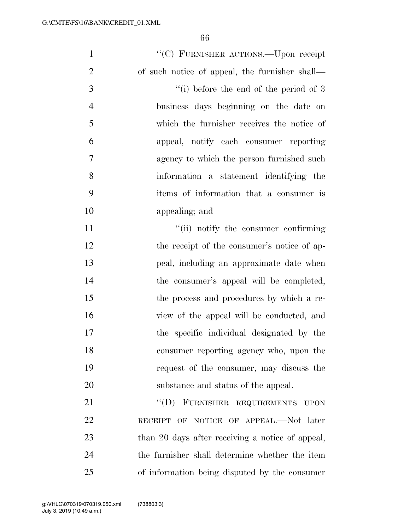| $\mathbf{1}$   | "(C) FURNISHER ACTIONS.—Upon receipt             |
|----------------|--------------------------------------------------|
| $\overline{2}$ | of such notice of appeal, the furnisher shall—   |
| 3              | "(i) before the end of the period of $3$         |
| $\overline{4}$ | business days beginning on the date on           |
| 5              | which the furnisher receives the notice of       |
| 6              | appeal, notify each consumer reporting           |
| $\overline{7}$ | agency to which the person furnished such        |
| 8              | information a statement identifying the          |
| 9              | items of information that a consumer is          |
| 10             | appealing; and                                   |
| 11             | "(ii) notify the consumer confirming             |
| 12             | the receipt of the consumer's notice of ap-      |
| 13             | peal, including an approximate date when         |
| 14             | the consumer's appeal will be completed,         |
| 15             | the process and procedures by which a re-        |
| 16             | view of the appeal will be conducted, and        |
| 17             | the specific individual designated by the        |
| 18             | consumer reporting agency who, upon the          |
| 19             | request of the consumer, may discuss the         |
| 20             | substance and status of the appeal.              |
| 21             | "(D) FURNISHER REQUIREMENTS UPON                 |
| 22             | RECEIPT OF NOTICE OF APPEAL.-Not later           |
| 23             | than 20 days after receiving a notice of appeal, |
| 24             | the furnisher shall determine whether the item   |
| 25             | of information being disputed by the consumer    |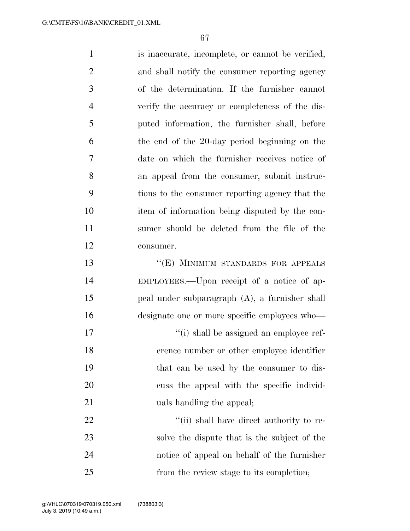is inaccurate, incomplete, or cannot be verified, and shall notify the consumer reporting agency of the determination. If the furnisher cannot verify the accuracy or completeness of the dis- puted information, the furnisher shall, before the end of the 20-day period beginning on the date on which the furnisher receives notice of an appeal from the consumer, submit instruc- tions to the consumer reporting agency that the item of information being disputed by the con- sumer should be deleted from the file of the consumer. 13 "(E) MINIMUM STANDARDS FOR APPEALS EMPLOYEES.—Upon receipt of a notice of ap- peal under subparagraph (A), a furnisher shall designate one or more specific employees who—  $\frac{1}{2}$  '(i) shall be assigned an employee ref- erence number or other employee identifier that can be used by the consumer to dis- cuss the appeal with the specific individ-21 uals handling the appeal;  $\frac{1}{1}$   $\frac{1}{1}$  shall have direct authority to re-

 solve the dispute that is the subject of the notice of appeal on behalf of the furnisher from the review stage to its completion;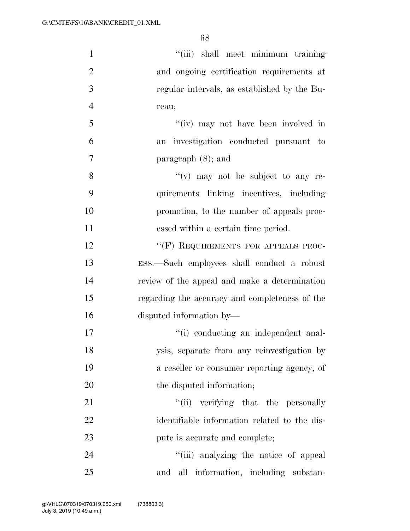| $\mathbf{1}$   | "(iii) shall meet minimum training             |
|----------------|------------------------------------------------|
| $\overline{2}$ | and ongoing certification requirements at      |
| 3              | regular intervals, as established by the Bu-   |
| $\overline{4}$ | reau;                                          |
| 5              | "(iv) may not have been involved in            |
| 6              | investigation conducted pursuant to<br>an      |
| 7              | paragraph $(8)$ ; and                          |
| 8              | $f'(v)$ may not be subject to any re-          |
| 9              | quirements linking incentives, including       |
| 10             | promotion, to the number of appeals proc-      |
| 11             | essed within a certain time period.            |
| 12             | "(F) REQUIREMENTS FOR APPEALS PROC-            |
| 13             | ESS.—Such employees shall conduct a robust     |
| 14             | review of the appeal and make a determination  |
| 15             | regarding the accuracy and completeness of the |
| 16             | disputed information by—                       |
| 17             | "(i) conducting an independent anal-           |
| 18             | ysis, separate from any reinvestigation by     |
| 19             | a reseller or consumer reporting agency, of    |
| 20             | the disputed information;                      |
| 21             | "(ii) verifying that the personally            |
| 22             | identifiable information related to the dis-   |
| 23             | pute is accurate and complete;                 |
| 24             | "(iii) analyzing the notice of appeal          |
| 25             | and all information, including substan-        |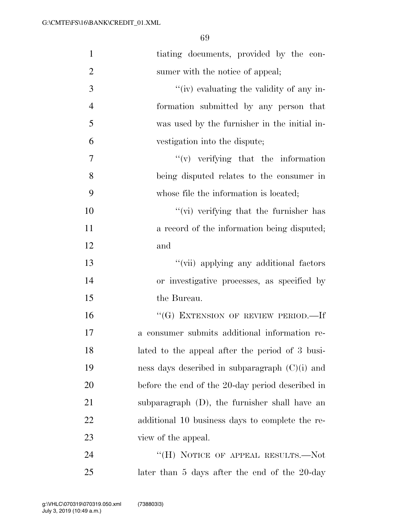| $\mathbf{1}$   | tiating documents, provided by the con-          |
|----------------|--------------------------------------------------|
| $\overline{2}$ | sumer with the notice of appeal;                 |
| 3              | "(iv) evaluating the validity of any in-         |
| $\overline{4}$ | formation submitted by any person that           |
| 5              | was used by the furnisher in the initial in-     |
| 6              | vestigation into the dispute;                    |
| 7              | $f'(v)$ verifying that the information           |
| 8              | being disputed relates to the consumer in        |
| 9              | whose file the information is located;           |
| 10             | "(vi) verifying that the furnisher has           |
| 11             | a record of the information being disputed;      |
| 12             | and                                              |
| 13             | "(vii) applying any additional factors           |
| 14             | or investigative processes, as specified by      |
| 15             | the Bureau.                                      |
| 16             | "(G) EXTENSION OF REVIEW PERIOD.—If              |
| 17             | a consumer submits additional information re-    |
| 18             | lated to the appeal after the period of 3 busi-  |
| 19             | ness days described in subparagraph $(C)(i)$ and |
| 20             | before the end of the 20-day period described in |
| 21             | subparagraph $(D)$ , the furnisher shall have an |
| 22             | additional 10 business days to complete the re-  |
| 23             | view of the appeal.                              |
| 24             | "(H) NOTICE OF APPEAL RESULTS.—Not               |
| 25             | later than 5 days after the end of the 20-day    |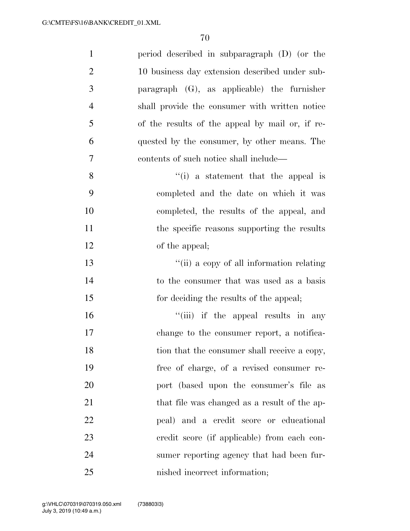| $\mathbf{1}$   | period described in subparagraph (D) (or the    |
|----------------|-------------------------------------------------|
| $\overline{2}$ | 10 business day extension described under sub-  |
| 3              | paragraph $(G)$ , as applicable) the furnisher  |
| $\overline{4}$ | shall provide the consumer with written notice  |
| 5              | of the results of the appeal by mail or, if re- |
| 6              | quested by the consumer, by other means. The    |
| $\overline{7}$ | contents of such notice shall include—          |
| 8              | $f(i)$ a statement that the appeal is           |
| 9              | completed and the date on which it was          |
| 10             | completed, the results of the appeal, and       |
| 11             | the specific reasons supporting the results     |
| 12             | of the appeal;                                  |
| 13             | "(ii) a copy of all information relating        |
| 14             | to the consumer that was used as a basis        |
| 15             | for deciding the results of the appeal;         |
| 16             | "(iii) if the appeal results in any             |
| 17             | change to the consumer report, a notifica-      |
| 18             | tion that the consumer shall receive a copy,    |
| 19             | free of charge, of a revised consumer re-       |
| 20             | port (based upon the consumer's file as         |
| 21             | that file was changed as a result of the ap-    |
| 22             | peal) and a credit score or educational         |
| 23             | credit score (if applicable) from each con-     |
| 24             | sumer reporting agency that had been fur-       |
| 25             | nished incorrect information;                   |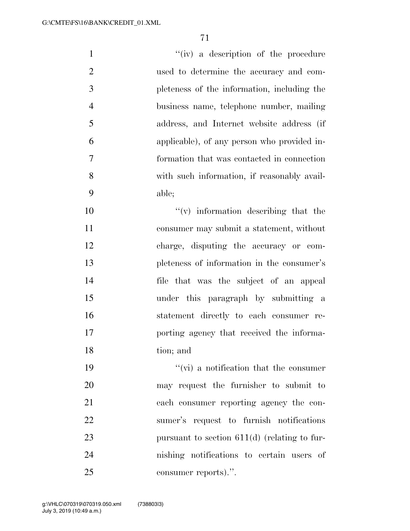| $\mathbf{1}$   | "(iv) a description of the procedure           |
|----------------|------------------------------------------------|
| $\overline{2}$ | used to determine the accuracy and com-        |
| 3              | pleteness of the information, including the    |
| $\overline{4}$ | business name, telephone number, mailing       |
| 5              | address, and Internet website address (if      |
| 6              | applicable), of any person who provided in-    |
| $\overline{7}$ | formation that was contacted in connection     |
| 8              | with such information, if reasonably avail-    |
| 9              | able;                                          |
| 10             | $f'(v)$ information describing that the        |
| 11             | consumer may submit a statement, without       |
| 12             | charge, disputing the accuracy or com-         |
| 13             | pleteness of information in the consumer's     |
| 14             | file that was the subject of an appeal         |
| 15             | under this paragraph by submitting a           |
| 16             | statement directly to each consumer re-        |
| 17             | porting agency that received the informa-      |
| 18             | tion; and                                      |
| 19             | $\lq\lq$ (vi) a notification that the consumer |
| 20             | may request the furnisher to submit to         |

 each consumer reporting agency the con- sumer's request to furnish notifications 23 pursuant to section 611(d) (relating to fur- nishing notifications to certain users of consumer reports).''.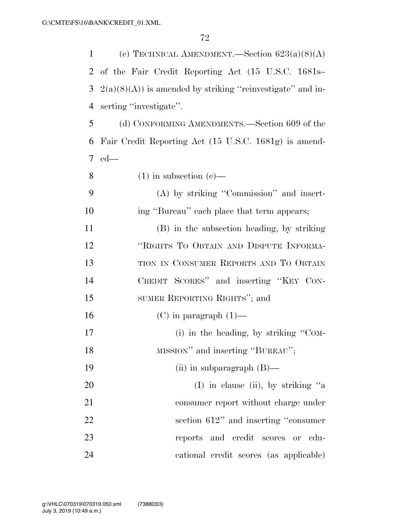| 1              | (c) TECHNICAL AMENDMENT.—Section $623(a)(8)(A)$             |
|----------------|-------------------------------------------------------------|
| $\overline{2}$ | of the Fair Credit Reporting Act (15 U.S.C. 1681s-          |
| 3              | $2(a)(8)(A)$ is amended by striking "reinvestigate" and in- |
| 4              | serting "investigate".                                      |
| 5              | (d) CONFORMING AMENDMENTS.—Section 609 of the               |
| 6              | Fair Credit Reporting Act (15 U.S.C. 1681g) is amend-       |
| $\tau$         | $ed$ —                                                      |
| 8              | $(1)$ in subsection $(e)$ —                                 |
| 9              | (A) by striking "Commission" and insert-                    |
| 10             | ing "Bureau" each place that term appears;                  |
| 11             | (B) in the subsection heading, by striking                  |
| 12             | "RIGHTS TO OBTAIN AND DISPUTE INFORMA-                      |
| 13             | TION IN CONSUMER REPORTS AND TO OBTAIN                      |
| 14             | CREDIT SCORES" and inserting "KEY CON-                      |
| 15             | SUMER REPORTING RIGHTS"; and                                |
| 16             | $(C)$ in paragraph $(1)$ —                                  |
| 17             | (i) in the heading, by striking " $COM-$                    |
| 18             | MISSION" and inserting "BUREAU";                            |
| 19             | (ii) in subparagraph $(B)$ —                                |
| 20             | (I) in clause (ii), by striking "a                          |
| 21             | consumer report without charge under                        |
| 22             | section 612" and inserting "consumer                        |
| 23             | reports and credit scores or<br>- edu-                      |
| 24             | cational credit scores (as applicable)                      |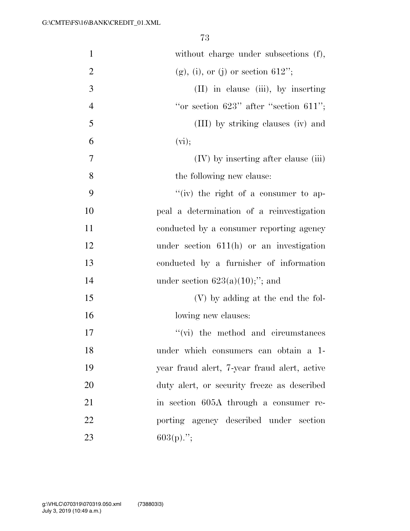| $\mathbf{1}$   | without charge under subsections (f),        |
|----------------|----------------------------------------------|
| $\overline{2}$ | $(g)$ , (i), or (j) or section 612";         |
| 3              | (II) in clause (iii), by inserting           |
| $\overline{4}$ | "or section $623"$ after "section $611"$ ;   |
| 5              | (III) by striking clauses (iv) and           |
| 6              | (vi);                                        |
| 7              | $(IV)$ by inserting after clause $(iii)$     |
| 8              | the following new clause:                    |
| 9              | "(iv) the right of a consumer to ap-         |
| 10             | peal a determination of a reinvestigation    |
| 11             | conducted by a consumer reporting agency     |
| 12             | under section $611(h)$ or an investigation   |
| 13             | conducted by a furnisher of information      |
| 14             | under section $623(a)(10)$ ;"; and           |
| 15             | (V) by adding at the end the fol-            |
| 16             | lowing new clauses:                          |
| 17             | $\lq\lq$ (vi) the method and circumstances   |
| 18             | under which consumers can obtain a 1-        |
| 19             | year fraud alert, 7-year fraud alert, active |
| 20             | duty alert, or security freeze as described  |
| 21             | in section 605A through a consumer re-       |
| 22             | porting agency described under section       |
| 23             | $603(p)$ .";                                 |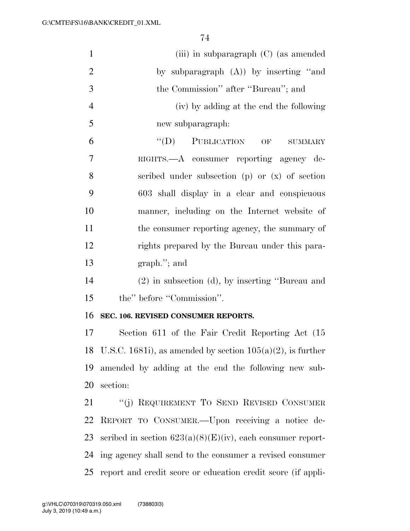| $\mathbf{1}$   | (iii) in subparagraph $(C)$ (as amended                          |
|----------------|------------------------------------------------------------------|
| $\overline{2}$ | by subparagraph $(A)$ ) by inserting "and                        |
| 3              | the Commission" after "Bureau"; and                              |
| $\overline{4}$ | (iv) by adding at the end the following                          |
| 5              | new subparagraph:                                                |
| 6              | PUBLICATION OF<br>$\lq\lq (D)$<br><b>SUMMARY</b>                 |
| 7              | RIGHTS.—A consumer reporting agency de-                          |
| 8              | scribed under subsection $(p)$ or $(x)$ of section               |
| 9              | 603 shall display in a clear and conspicuous                     |
| 10             | manner, including on the Internet website of                     |
| 11             | the consumer reporting agency, the summary of                    |
| 12             | rights prepared by the Bureau under this para-                   |
| 13             | $graph.'$ ; and                                                  |
| 14             | $(2)$ in subsection $(d)$ , by inserting "Bureau and             |
| 15             | the" before "Commission".                                        |
| 16             | SEC. 106. REVISED CONSUMER REPORTS.                              |
| 17             | Section 611 of the Fair Credit Reporting Act (15)                |
|                | 18 U.S.C. 1681i), as amended by section $105(a)(2)$ , is further |
| 19             | amended by adding at the end the following new sub-              |
| 20             | section:                                                         |
| 21             | "(j) REQUIREMENT TO SEND REVISED CONSUMER                        |
| 22             | REPORT TO CONSUMER. - Upon receiving a notice de-                |
| 23             | scribed in section $623(a)(8)(E)(iv)$ , each consumer report-    |
| 24             | ing agency shall send to the consumer a revised consumer         |
| 25             | report and credit score or education credit score (if appli-     |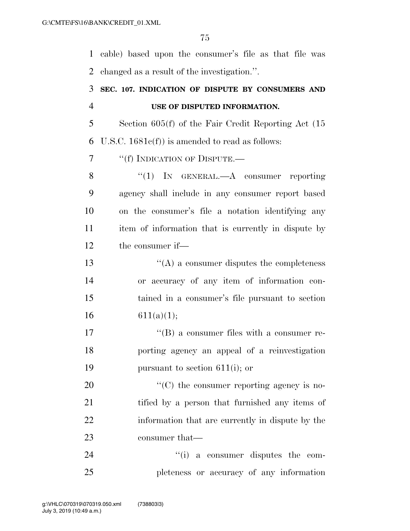cable) based upon the consumer's file as that file was changed as a result of the investigation.''.

### **SEC. 107. INDICATION OF DISPUTE BY CONSUMERS AND USE OF DISPUTED INFORMATION.**

 Section 605(f) of the Fair Credit Reporting Act (15 U.S.C. 1681c(f)) is amended to read as follows:

7 <sup>"</sup>(f) INDICATION OF DISPUTE.—

8 "(1) IN GENERAL.—A consumer reporting agency shall include in any consumer report based on the consumer's file a notation identifying any item of information that is currently in dispute by the consumer if—

 ''(A) a consumer disputes the completeness or accuracy of any item of information con- tained in a consumer's file pursuant to section 16 611(a)(1);

17  $\langle G \rangle$  a consumer files with a consumer re- porting agency an appeal of a reinvestigation pursuant to section 611(i); or

20  $\cdot$  (C) the consumer reporting agency is no-21 tified by a person that furnished any items of information that are currently in dispute by the 23 consumer that—

24  $(i)$  a consumer disputes the com-pleteness or accuracy of any information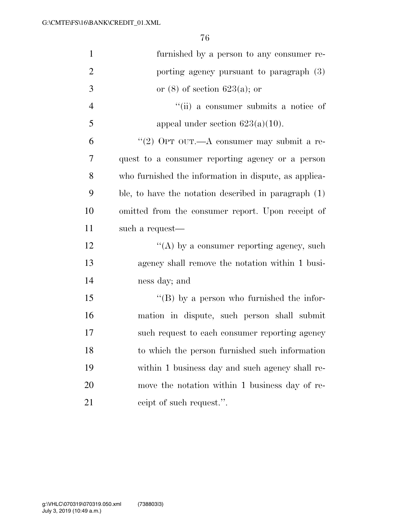| $\mathbf{1}$   | furnished by a person to any consumer re-             |
|----------------|-------------------------------------------------------|
| $\overline{2}$ | porting agency pursuant to paragraph (3)              |
| 3              | or $(8)$ of section 623(a); or                        |
| $\overline{4}$ | "(ii) a consumer submits a notice of                  |
| 5              | appeal under section $623(a)(10)$ .                   |
| 6              | "(2) OPT OUT.—A consumer may submit a re-             |
| 7              | quest to a consumer reporting agency or a person      |
| 8              | who furnished the information in dispute, as applica- |
| 9              | ble, to have the notation described in paragraph (1)  |
| 10             | omitted from the consumer report. Upon receipt of     |
| 11             | such a request—                                       |
| 12             | "(A) by a consumer reporting agency, such             |
| 13             | agency shall remove the notation within 1 busi-       |
| 14             | ness day; and                                         |
| 15             | "(B) by a person who furnished the infor-             |
| 16             | mation in dispute, such person shall submit           |
| 17             | such request to each consumer reporting agency        |
| 18             | to which the person furnished such information        |
| 19             | within 1 business day and such agency shall re-       |
| 20             | move the notation within 1 business day of re-        |
| 21             | ceipt of such request.".                              |
|                |                                                       |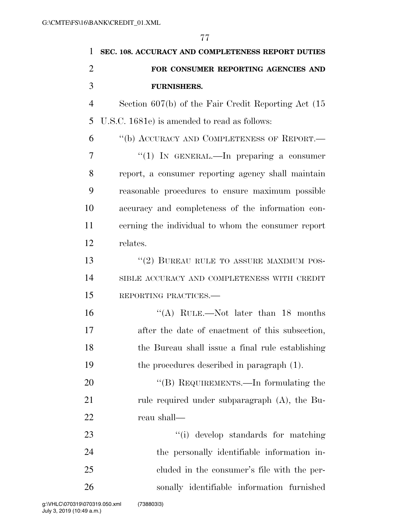| 1              | SEC. 108. ACCURACY AND COMPLETENESS REPORT DUTIES       |
|----------------|---------------------------------------------------------|
| 2              | FOR CONSUMER REPORTING AGENCIES AND                     |
| 3              | <b>FURNISHERS.</b>                                      |
| $\overline{4}$ | Section $607(b)$ of the Fair Credit Reporting Act $(15$ |
| 5              | U.S.C. 1681e) is amended to read as follows:            |
| 6              | "(b) ACCURACY AND COMPLETENESS OF REPORT.—              |
| 7              | " $(1)$ IN GENERAL.—In preparing a consumer             |
| 8              | report, a consumer reporting agency shall maintain      |
| 9              | reasonable procedures to ensure maximum possible        |
| 10             | accuracy and completeness of the information con-       |
| 11             | cerning the individual to whom the consumer report      |
| 12             | relates.                                                |
| 13             | "(2) BUREAU RULE TO ASSURE MAXIMUM POS-                 |
| 14             | SIBLE ACCURACY AND COMPLETENESS WITH CREDIT             |
| 15             | REPORTING PRACTICES.                                    |
| 16             | "(A) RULE.—Not later than $18$ months                   |
| 17             | after the date of enactment of this subsection,         |
| 18             | the Bureau shall issue a final rule establishing        |
| 19             | the procedures described in paragraph (1).              |
| 20             | "(B) REQUIREMENTS.—In formulating the                   |
| 21             | rule required under subparagraph (A), the Bu-           |
| 22             | reau shall—                                             |
| 23             | "(i) develop standards for matching                     |
| 24             | the personally identifiable information in-             |
| 25             | eluded in the consumer's file with the per-             |
| 26             | sonally identifiable information furnished              |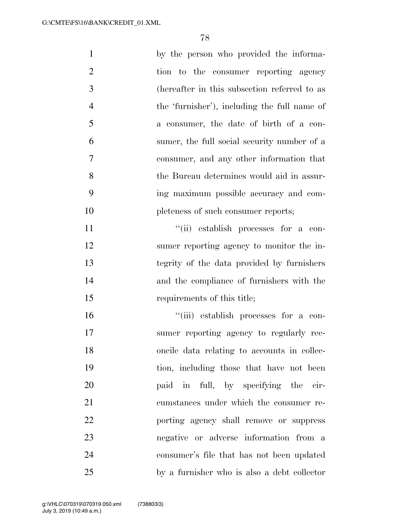| $\mathbf{1}$   | by the person who provided the informa-      |
|----------------|----------------------------------------------|
| $\overline{2}$ | tion to the consumer reporting agency        |
| 3              | (hereafter in this subsection referred to as |
| $\overline{4}$ | the 'furnisher'), including the full name of |
| 5              | a consumer, the date of birth of a con-      |
| 6              | sumer, the full social security number of a  |
| 7              | consumer, and any other information that     |
| 8              | the Bureau determines would aid in assur-    |
| 9              | ing maximum possible accuracy and com-       |
| 10             | pleteness of such consumer reports;          |
| 11             | "(ii) establish processes for a con-         |
| 12             | sumer reporting agency to monitor the in-    |
| 13             | tegrity of the data provided by furnishers   |
| 14             | and the compliance of furnishers with the    |
| 15             | requirements of this title;                  |
| 16             | "(iii) establish processes for a con-        |
| 17             | sumer reporting agency to regularly rec-     |
| 18             | oncile data relating to accounts in collec-  |
| 19             | tion, including those that have not been     |
| 20             | paid in full, by specifying the cir-         |
| 21             | cumstances under which the consumer re-      |
| 22             | porting agency shall remove or suppress      |
| 23             | negative or adverse information from a       |
| 24             | consumer's file that has not been updated    |
| 25             | by a furnisher who is also a debt collector  |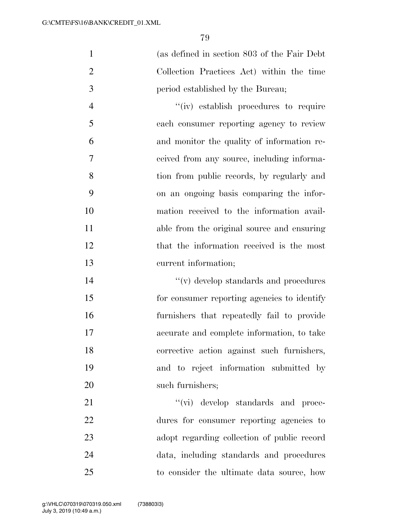(as defined in section 803 of the Fair Debt Collection Practices Act) within the time period established by the Bureau;

 $''(iv)$  establish procedures to require each consumer reporting agency to review and monitor the quality of information re- ceived from any source, including informa- tion from public records, by regularly and on an ongoing basis comparing the infor- mation received to the information avail- able from the original source and ensuring 12 that the information received is the most current information;

 ''(v) develop standards and procedures for consumer reporting agencies to identify furnishers that repeatedly fail to provide accurate and complete information, to take corrective action against such furnishers, and to reject information submitted by 20 such furnishers;

 $''(\vec{v})$  develop standards and proce- dures for consumer reporting agencies to adopt regarding collection of public record data, including standards and procedures to consider the ultimate data source, how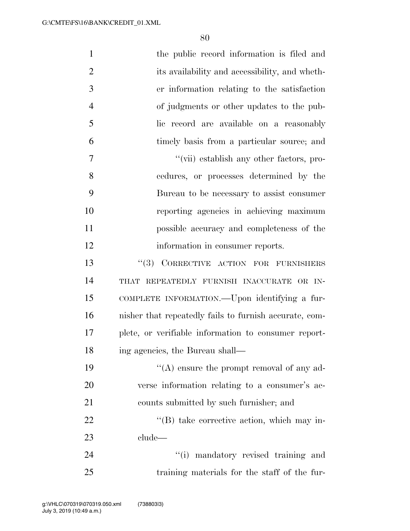| $\mathbf{1}$   | the public record information is filed and             |
|----------------|--------------------------------------------------------|
| $\overline{2}$ | its availability and accessibility, and wheth-         |
| 3              | er information relating to the satisfaction            |
| $\overline{4}$ | of judgments or other updates to the pub-              |
| 5              | lic record are available on a reasonably               |
| 6              | timely basis from a particular source; and             |
| $\overline{7}$ | "(vii) establish any other factors, pro-               |
| 8              | cedures, or processes determined by the                |
| 9              | Bureau to be necessary to assist consumer              |
| 10             | reporting agencies in achieving maximum                |
| 11             | possible accuracy and completeness of the              |
| 12             | information in consumer reports.                       |
| 13             | "(3) CORRECTIVE ACTION FOR FURNISHERS                  |
| 14             | THAT REPEATEDLY FURNISH INACCURATE OR IN-              |
| 15             | COMPLETE INFORMATION.—Upon identifying a fur-          |
| 16             | nisher that repeatedly fails to furnish accurate, com- |
| 17             | plete, or verifiable information to consumer report-   |
| 18             | ing agencies, the Bureau shall-                        |
| 19             | $\lq\lq$ ensure the prompt removal of any ad-          |
| 20             | verse information relating to a consumer's ac-         |
| 21             | counts submitted by such furnisher; and                |
| 22             | $\lq\lq (B)$ take corrective action, which may in-     |
| 23             | clude                                                  |
| 24             | "(i) mandatory revised training and                    |
| 25             | training materials for the staff of the fur-           |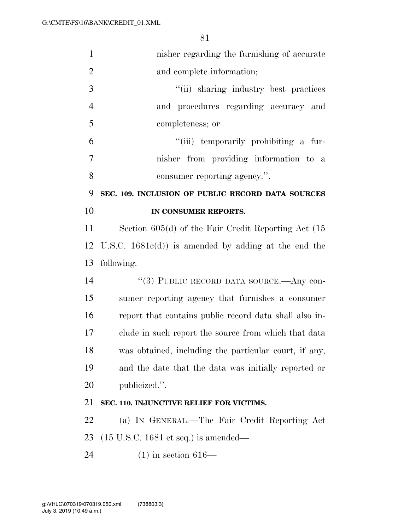| $\mathbf{1}$   | nisher regarding the furnishing of accurate              |
|----------------|----------------------------------------------------------|
| $\overline{2}$ | and complete information;                                |
| $\mathfrak{Z}$ | "(ii) sharing industry best practices                    |
| $\overline{4}$ | and procedures regarding accuracy and                    |
| 5              | completeness; or                                         |
| 6              | "(iii) temporarily prohibiting a fur-                    |
| 7              | nisher from providing information to a                   |
| 8              | consumer reporting agency.".                             |
| 9              | SEC. 109. INCLUSION OF PUBLIC RECORD DATA SOURCES        |
| 10             | IN CONSUMER REPORTS.                                     |
| 11             | Section $605(d)$ of the Fair Credit Reporting Act $(15$  |
|                | 12 U.S.C. $1681c(d)$ is amended by adding at the end the |
| 13             | following:                                               |
| 14             | "(3) PUBLIC RECORD DATA SOURCE.—Any con-                 |
| 15             | sumer reporting agency that furnishes a consumer         |
| 16             | report that contains public record data shall also in-   |
| 17             | clude in such report the source from which that data     |
| 18             | was obtained, including the particular court, if any,    |
| 19             | and the date that the data was initially reported or     |
| 20             | publicized.".                                            |
| 21             | SEC. 110. INJUNCTIVE RELIEF FOR VICTIMS.                 |
| 22             | (a) IN GENERAL.—The Fair Credit Reporting Act            |
| 23             | $(15 \text{ U.S.C. } 1681 \text{ et seq.})$ is amended—  |
| 24             | $(1)$ in section 616—                                    |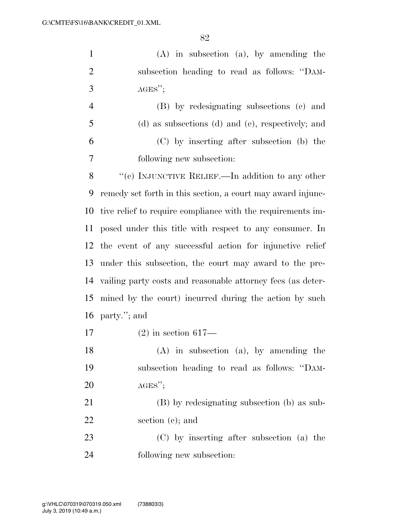(A) in subsection (a), by amending the subsection heading to read as follows: ''DAM-AGES'';

|    | (B) by redesignating subsections (c) and          |
|----|---------------------------------------------------|
| -5 | (d) as subsections (d) and (e), respectively; and |
| -6 | (C) by inserting after subsection (b) the         |
|    | following new subsection:                         |

8 "'(c) INJUNCTIVE RELIEF.—In addition to any other remedy set forth in this section, a court may award injunc- tive relief to require compliance with the requirements im- posed under this title with respect to any consumer. In the event of any successful action for injunctive relief under this subsection, the court may award to the pre- vailing party costs and reasonable attorney fees (as deter- mined by the court) incurred during the action by such party.''; and

(2) in section 617—

 (A) in subsection (a), by amending the subsection heading to read as follows: ''DAM-AGES'';

 (B) by redesignating subsection (b) as sub-section (c); and

 (C) by inserting after subsection (a) the following new subsection: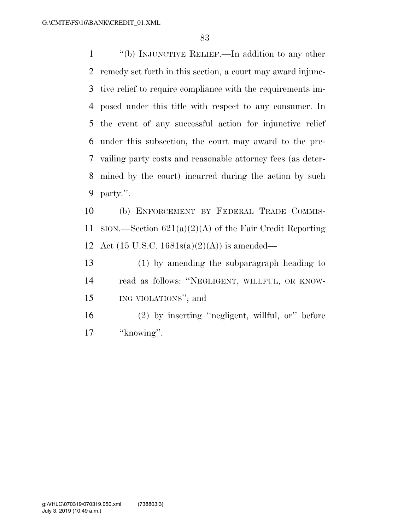''(b) INJUNCTIVE RELIEF.—In addition to any other remedy set forth in this section, a court may award injunc- tive relief to require compliance with the requirements im- posed under this title with respect to any consumer. In the event of any successful action for injunctive relief under this subsection, the court may award to the pre- vailing party costs and reasonable attorney fees (as deter- mined by the court) incurred during the action by such party.''.

 (b) ENFORCEMENT BY FEDERAL TRADE COMMIS-11 SION.—Section  $621(a)(2)(A)$  of the Fair Credit Reporting 12 Act (15 U.S.C. 1681s(a)(2)(A)) is amended—

 (1) by amending the subparagraph heading to read as follows: ''NEGLIGENT, WILLFUL, OR KNOW-ING VIOLATIONS''; and

 (2) by inserting ''negligent, willful, or'' before 17 ''knowing".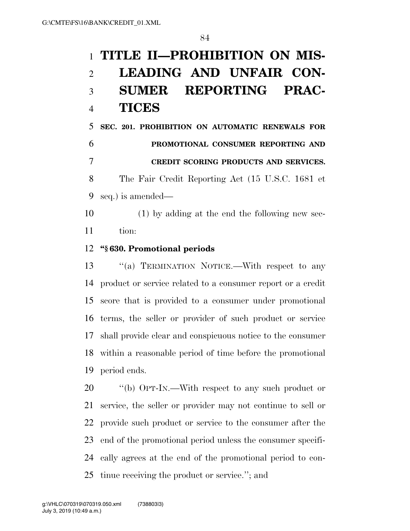# **TITLE II—PROHIBITION ON MIS- LEADING AND UNFAIR CON- SUMER REPORTING PRAC-TICES**

 **SEC. 201. PROHIBITION ON AUTOMATIC RENEWALS FOR PROMOTIONAL CONSUMER REPORTING AND CREDIT SCORING PRODUCTS AND SERVICES.**  The Fair Credit Reporting Act (15 U.S.C. 1681 et seq.) is amended—

 (1) by adding at the end the following new sec-tion:

#### **''§ 630. Promotional periods**

13 "(a) TERMINATION NOTICE.—With respect to any product or service related to a consumer report or a credit score that is provided to a consumer under promotional terms, the seller or provider of such product or service shall provide clear and conspicuous notice to the consumer within a reasonable period of time before the promotional period ends.

 $\frac{1}{20}$  ''(b) OPT-IN.—With respect to any such product or service, the seller or provider may not continue to sell or provide such product or service to the consumer after the end of the promotional period unless the consumer specifi- cally agrees at the end of the promotional period to con-tinue receiving the product or service.''; and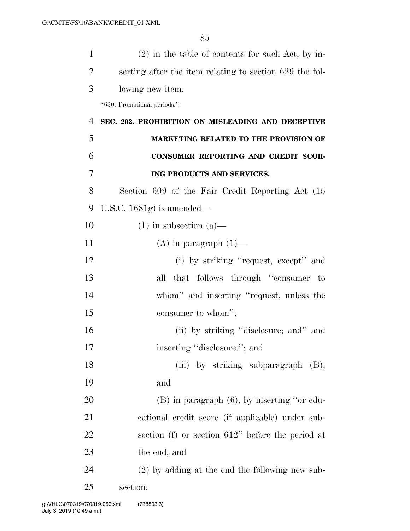| 1              | $(2)$ in the table of contents for such Act, by in-     |
|----------------|---------------------------------------------------------|
| $\overline{2}$ | serting after the item relating to section 629 the fol- |
| 3              | lowing new item:                                        |
|                | "630. Promotional periods.".                            |
| 4              | SEC. 202. PROHIBITION ON MISLEADING AND DECEPTIVE       |
| 5              | <b>MARKETING RELATED TO THE PROVISION OF</b>            |
| 6              | CONSUMER REPORTING AND CREDIT SCOR-                     |
| 7              | ING PRODUCTS AND SERVICES.                              |
| 8              | Section 609 of the Fair Credit Reporting Act (15        |
| 9              | U.S.C. $1681g$ is amended—                              |
| 10             | $(1)$ in subsection $(a)$ —                             |
| 11             | $(A)$ in paragraph $(1)$ —                              |
| 12             | (i) by striking "request, except" and                   |
| 13             | all that follows through "consumer to                   |
| 14             | whom" and inserting "request, unless the                |
| 15             | consumer to whom";                                      |
| 16             | (ii) by striking "disclosure; and" and                  |
| 17             | inserting "disclosure."; and                            |
| 18             | (iii) by striking subparagraph $(B)$ ;                  |
| 19             | and                                                     |
| 20             | $(B)$ in paragraph $(6)$ , by inserting "or edu-        |
| 21             | cational credit score (if applicable) under sub-        |
| 22             | section (f) or section $612$ " before the period at     |
| 23             | the end; and                                            |
| 24             | $(2)$ by adding at the end the following new sub-       |
| 25             | section:                                                |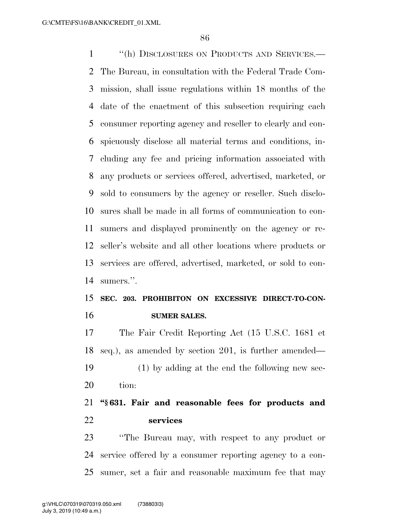''(h) DISCLOSURES ON PRODUCTS AND SERVICES.— The Bureau, in consultation with the Federal Trade Com- mission, shall issue regulations within 18 months of the date of the enactment of this subsection requiring each consumer reporting agency and reseller to clearly and con- spicuously disclose all material terms and conditions, in- cluding any fee and pricing information associated with any products or services offered, advertised, marketed, or sold to consumers by the agency or reseller. Such disclo- sures shall be made in all forms of communication to con- sumers and displayed prominently on the agency or re- seller's website and all other locations where products or services are offered, advertised, marketed, or sold to con-sumers.''.

### **SEC. 203. PROHIBITON ON EXCESSIVE DIRECT-TO-CON-SUMER SALES.**

 The Fair Credit Reporting Act (15 U.S.C. 1681 et seq.), as amended by section 201, is further amended— (1) by adding at the end the following new sec-tion:

 **''§ 631. Fair and reasonable fees for products and services** 

 ''The Bureau may, with respect to any product or service offered by a consumer reporting agency to a con-sumer, set a fair and reasonable maximum fee that may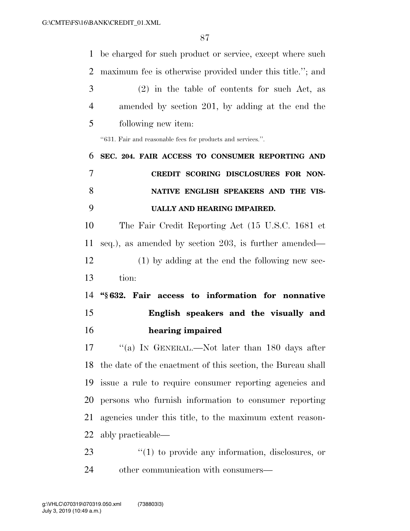be charged for such product or service, except where such maximum fee is otherwise provided under this title.''; and (2) in the table of contents for such Act, as amended by section 201, by adding at the end the following new item: ''631. Fair and reasonable fees for products and services.''. **SEC. 204. FAIR ACCESS TO CONSUMER REPORTING AND CREDIT SCORING DISCLOSURES FOR NON- NATIVE ENGLISH SPEAKERS AND THE VIS- UALLY AND HEARING IMPAIRED.**  The Fair Credit Reporting Act (15 U.S.C. 1681 et seq.), as amended by section 203, is further amended— (1) by adding at the end the following new sec- tion: **''§ 632. Fair access to information for nonnative English speakers and the visually and hearing impaired**  17 "(a) In GENERAL.—Not later than 180 days after the date of the enactment of this section, the Bureau shall issue a rule to require consumer reporting agencies and persons who furnish information to consumer reporting agencies under this title, to the maximum extent reason- ably practicable—  $\frac{1}{2}$  (1) to provide any information, disclosures, or other communication with consumers—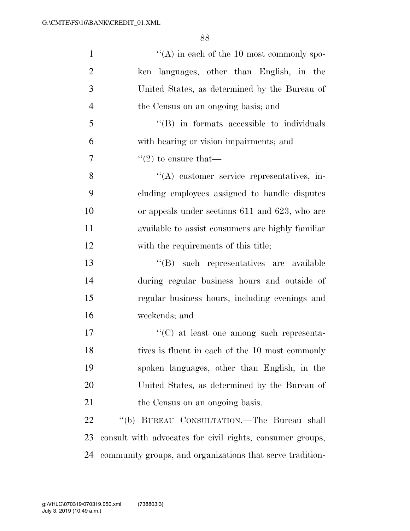| $\mathbf{1}$   | $\lq\lq$ in each of the 10 most commonly spo-             |
|----------------|-----------------------------------------------------------|
| $\overline{2}$ | ken languages, other than English, in the                 |
| 3              | United States, as determined by the Bureau of             |
| $\overline{4}$ | the Census on an ongoing basis; and                       |
| 5              | $\lq\lq$ in formats accessible to individuals             |
| 6              | with hearing or vision impairments; and                   |
| 7              | $\cdot\cdot(2)$ to ensure that—                           |
| 8              | $\lq\lq$ customer service representatives, in-            |
| 9              | cluding employees assigned to handle disputes             |
| 10             | or appeals under sections 611 and 623, who are            |
| 11             | available to assist consumers are highly familiar         |
| 12             | with the requirements of this title;                      |
| 13             | "(B) such representatives are available                   |
| 14             | during regular business hours and outside of              |
| 15             | regular business hours, including evenings and            |
| 16             | weekends; and                                             |
| 17             | $\cdot\cdot$ (C) at least one among such representa-      |
| 18             | tives is fluent in each of the 10 most commonly           |
| 19             | spoken languages, other than English, in the              |
| 20             | United States, as determined by the Bureau of             |
| 21             | the Census on an ongoing basis.                           |
| 22             | "(b) BUREAU CONSULTATION.—The Bureau shall                |
| 23             | consult with advocates for civil rights, consumer groups, |
| 24             | community groups, and organizations that serve tradition- |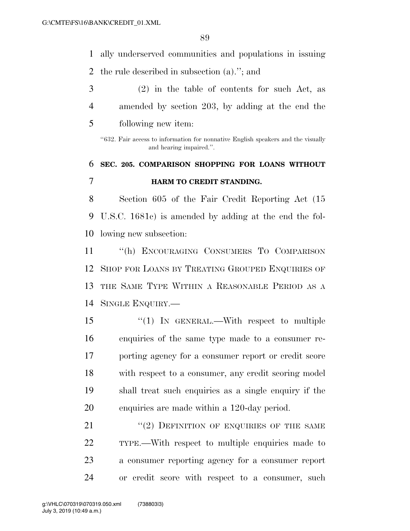ally underserved communities and populations in issuing

- the rule described in subsection (a).''; and
- (2) in the table of contents for such Act, as amended by section 203, by adding at the end the
- following new item:

''632. Fair access to information for nonnative English speakers and the visually and hearing impaired.''.

# **SEC. 205. COMPARISON SHOPPING FOR LOANS WITHOUT HARM TO CREDIT STANDING.**

 Section 605 of the Fair Credit Reporting Act (15 U.S.C. 1681c) is amended by adding at the end the fol-lowing new subsection:

 ''(h) ENCOURAGING CONSUMERS TO COMPARISON SHOP FOR LOANS BY TREATING GROUPED ENQUIRIES OF THE SAME TYPE WITHIN A REASONABLE PERIOD AS A SINGLE ENQUIRY.—

 ''(1) IN GENERAL.—With respect to multiple enquiries of the same type made to a consumer re- porting agency for a consumer report or credit score with respect to a consumer, any credit scoring model shall treat such enquiries as a single enquiry if the enquiries are made within a 120-day period.

21 "(2) DEFINITION OF ENQUIRIES OF THE SAME TYPE.—With respect to multiple enquiries made to a consumer reporting agency for a consumer report or credit score with respect to a consumer, such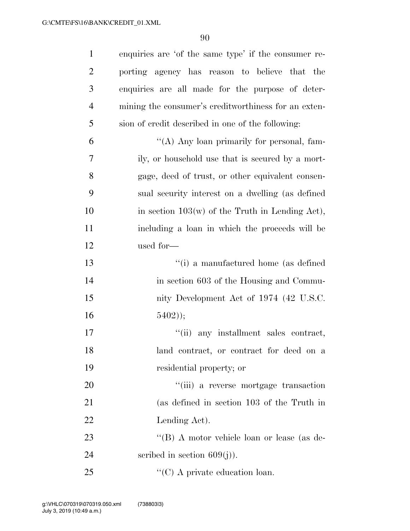| $\mathbf{1}$   | enquiries are 'of the same type' if the consumer re- |
|----------------|------------------------------------------------------|
| $\overline{2}$ | porting agency has reason to believe that the        |
| 3              | enquiries are all made for the purpose of deter-     |
| $\overline{4}$ | mining the consumer's creditworthiness for an exten- |
| 5              | sion of credit described in one of the following:    |
| 6              | "(A) Any loan primarily for personal, fam-           |
| 7              | ily, or household use that is secured by a mort-     |
| 8              | gage, deed of trust, or other equivalent consen-     |
| 9              | sual security interest on a dwelling (as defined     |
| 10             | in section $103(w)$ of the Truth in Lending Act),    |
| 11             | including a loan in which the proceeds will be       |
| 12             | used for-                                            |
| 13             | "(i) a manufactured home (as defined                 |
| 14             | in section 603 of the Housing and Commu-             |
| 15             | nity Development Act of 1974 (42 U.S.C.              |
| 16             | $5402$ );                                            |
| 17             | "(ii) any installment sales contract,                |
| 18             | land contract, or contract for deed on a             |
| 19             | residential property; or                             |
| 20             | "(iii) a reverse mortgage transaction                |
| 21             | (as defined in section 103 of the Truth in           |
| 22             | Lending Act.                                         |
| 23             | "(B) A motor vehicle loan or lease (as de-           |
| 24             | scribed in section $609(j)$ ).                       |
| 25             | $\lq\lq$ C) A private education loan.                |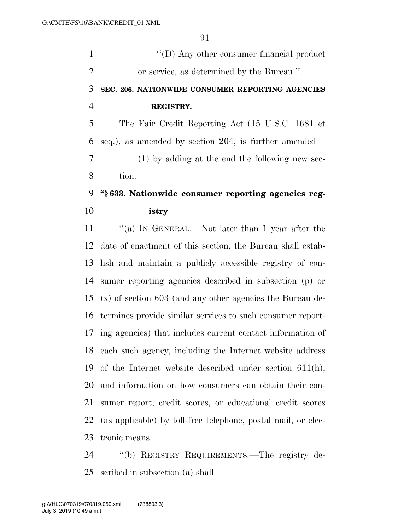1 ''(D) Any other consumer financial product or service, as determined by the Bureau.''. **SEC. 206. NATIONWIDE CONSUMER REPORTING AGENCIES** 

#### **REGISTRY.**

 The Fair Credit Reporting Act (15 U.S.C. 1681 et seq.), as amended by section 204, is further amended— (1) by adding at the end the following new sec-tion:

## **''§ 633. Nationwide consumer reporting agencies reg-istry**

 ''(a) IN GENERAL.—Not later than 1 year after the date of enactment of this section, the Bureau shall estab- lish and maintain a publicly accessible registry of con- sumer reporting agencies described in subsection (p) or (x) of section 603 (and any other agencies the Bureau de- termines provide similar services to such consumer report- ing agencies) that includes current contact information of each such agency, including the Internet website address of the Internet website described under section 611(h), and information on how consumers can obtain their con- sumer report, credit scores, or educational credit scores (as applicable) by toll-free telephone, postal mail, or elec-tronic means.

 ''(b) REGISTRY REQUIREMENTS.—The registry de-scribed in subsection (a) shall